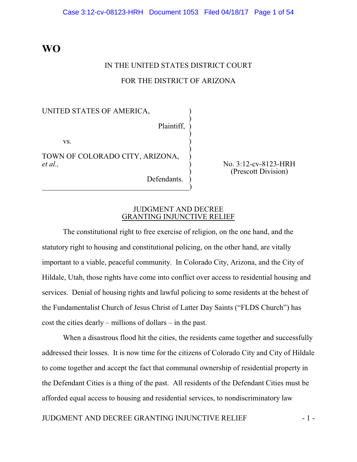## **WO**

# IN THE UNITED STATES DISTRICT COURT FOR THE DISTRICT OF ARIZONA

## UNITED STATES OF AMERICA, )

Plaintiff, )

)

)

)

 $\mathbf{v}\mathbf{s}$ .

TOWN OF COLORADO CITY, ARIZONA, et al.,

 $\qquad \qquad \qquad \qquad \qquad$ 

Defendants.

*et al.,* ) No. 3:12-cv-8123-HRH ) (Prescott Division)

#### JUDGMENT AND DECREE GRANTING INJUNCTIVE RELIEF

The constitutional right to free exercise of religion, on the one hand, and the statutory right to housing and constitutional policing, on the other hand, are vitally important to a viable, peaceful community. In Colorado City, Arizona, and the City of Hildale, Utah, those rights have come into conflict over access to residential housing and services. Denial of housing rights and lawful policing to some residents at the behest of the Fundamentalist Church of Jesus Christ of Latter Day Saints ("FLDS Church") has cost the cities dearly – millions of dollars – in the past.

When a disastrous flood hit the cities, the residents came together and successfully addressed their losses. It is now time for the citizens of Colorado City and City of Hildale to come together and accept the fact that communal ownership of residential property in the Defendant Cities is a thing of the past. All residents of the Defendant Cities must be afforded equal access to housing and residential services, to nondiscriminatory law

JUDGMENT AND DECREE GRANTING INJUNCTIVE RELIEF  $-1$  -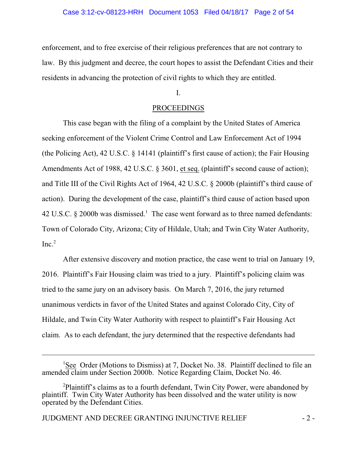enforcement, and to free exercise of their religious preferences that are not contrary to law. By this judgment and decree, the court hopes to assist the Defendant Cities and their residents in advancing the protection of civil rights to which they are entitled.

## I.

## PROCEEDINGS

This case began with the filing of a complaint by the United States of America seeking enforcement of the Violent Crime Control and Law Enforcement Act of 1994 (the Policing Act), 42 U.S.C. § 14141 (plaintiff's first cause of action); the Fair Housing Amendments Act of 1988, 42 U.S.C. § 3601, et seq. (plaintiff's second cause of action); and Title III of the Civil Rights Act of 1964, 42 U.S.C. § 2000b (plaintiff's third cause of action). During the development of the case, plaintiff's third cause of action based upon 42 U.S.C.  $\S$  2000b was dismissed.<sup>1</sup> The case went forward as to three named defendants: Town of Colorado City, Arizona; City of Hildale, Utah; and Twin City Water Authority,  $Inc.<sup>2</sup>$ 

After extensive discovery and motion practice, the case went to trial on January 19, 2016. Plaintiff's Fair Housing claim was tried to a jury. Plaintiff's policing claim was tried to the same jury on an advisory basis. On March 7, 2016, the jury returned unanimous verdicts in favor of the United States and against Colorado City, City of Hildale, and Twin City Water Authority with respect to plaintiff's Fair Housing Act claim. As to each defendant, the jury determined that the respective defendants had

<sup>&</sup>lt;sup>1</sup>See Order (Motions to Dismiss) at 7, Docket No. 38. Plaintiff declined to file an amended claim under Section 2000b. Notice Regarding Claim, Docket No. 46.

<sup>&</sup>lt;sup>2</sup>Plaintiff's claims as to a fourth defendant, Twin City Power, were abandoned by plaintiff. Twin City Water Authority has been dissolved and the water utility is now operated by the Defendant Cities.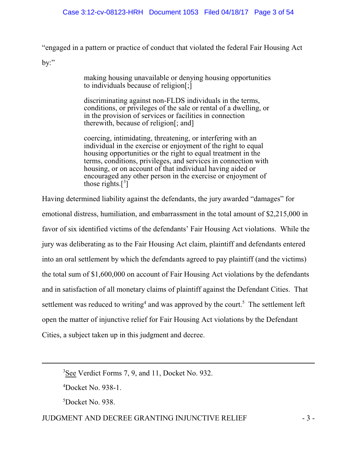"engaged in a pattern or practice of conduct that violated the federal Fair Housing Act

 $\mathbf{b}$ ...

making housing unavailable or denying housing opportunities to individuals because of religion[;]

discriminating against non-FLDS individuals in the terms, conditions, or privileges of the sale or rental of a dwelling, or in the provision of services or facilities in connection therewith, because of religion[; and]

coercing, intimidating, threatening, or interfering with an individual in the exercise or enjoyment of the right to equal housing opportunities or the right to equal treatment in the terms, conditions, privileges, and services in connection with housing, or on account of that individual having aided or encouraged any other person in the exercise or enjoyment of those rights. $\left[\begin{smallmatrix}3\end{smallmatrix}\right]$ 

Having determined liability against the defendants, the jury awarded "damages" for emotional distress, humiliation, and embarrassment in the total amount of \$2,215,000 in favor of six identified victims of the defendants' Fair Housing Act violations. While the jury was deliberating as to the Fair Housing Act claim, plaintiff and defendants entered into an oral settlement by which the defendants agreed to pay plaintiff (and the victims) the total sum of \$1,600,000 on account of Fair Housing Act violations by the defendants and in satisfaction of all monetary claims of plaintiff against the Defendant Cities. That settlement was reduced to writing<sup>4</sup> and was approved by the court.<sup>5</sup> The settlement left open the matter of injunctive relief for Fair Housing Act violations by the Defendant Cities, a subject taken up in this judgment and decree.

## JUDGMENT AND DECREE GRANTING INJUNCTIVE RELIEF  $-3$  -

<sup>&</sup>lt;sup>3</sup>See Verdict Forms 7, 9, and 11, Docket No. 932.

 $\textsuperscript{4}$ Docket No. 938-1.

<sup>&</sup>lt;sup>5</sup>Docket No. 938.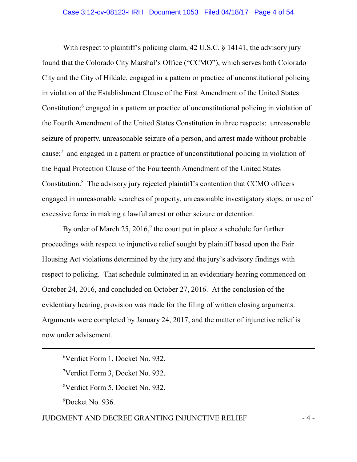With respect to plaintiff's policing claim, 42 U.S.C. § 14141, the advisory jury found that the Colorado City Marshal's Office ("CCMO"), which serves both Colorado City and the City of Hildale, engaged in a pattern or practice of unconstitutional policing in violation of the Establishment Clause of the First Amendment of the United States Constitution;<sup>6</sup> engaged in a pattern or practice of unconstitutional policing in violation of the Fourth Amendment of the United States Constitution in three respects: unreasonable seizure of property, unreasonable seizure of a person, and arrest made without probable cause; $\frac{7}{1}$  and engaged in a pattern or practice of unconstitutional policing in violation of the Equal Protection Clause of the Fourteenth Amendment of the United States Constitution.<sup>8</sup> The advisory jury rejected plaintiff's contention that CCMO officers engaged in unreasonable searches of property, unreasonable investigatory stops, or use of excessive force in making a lawful arrest or other seizure or detention.

By order of March 25, 2016, $9$  the court put in place a schedule for further proceedings with respect to injunctive relief sought by plaintiff based upon the Fair Housing Act violations determined by the jury and the jury's advisory findings with respect to policing. That schedule culminated in an evidentiary hearing commenced on October 24, 2016, and concluded on October 27, 2016. At the conclusion of the evidentiary hearing, provision was made for the filing of written closing arguments. Arguments were completed by January 24, 2017, and the matter of injunctive relief is now under advisement.

Verdict Form 1, Docket No. 932. Verdict Form 3, Docket No. 932. Verdict Form 5, Docket No. 932.  $9^9$ Docket No. 936.

## JUDGMENT AND DECREE GRANTING INJUNCTIVE RELIEF  $-4$  -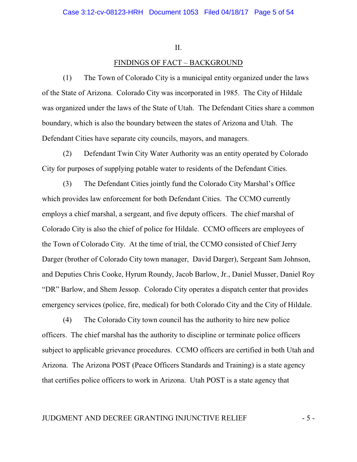#### II.

## FINDINGS OF FACT – BACKGROUND

(1) The Town of Colorado City is a municipal entity organized under the laws of the State of Arizona. Colorado City was incorporated in 1985. The City of Hildale was organized under the laws of the State of Utah. The Defendant Cities share a common boundary, which is also the boundary between the states of Arizona and Utah. The Defendant Cities have separate city councils, mayors, and managers.

(2) Defendant Twin City Water Authority was an entity operated by Colorado City for purposes of supplying potable water to residents of the Defendant Cities.

(3) The Defendant Cities jointly fund the Colorado City Marshal's Office which provides law enforcement for both Defendant Cities. The CCMO currently employs a chief marshal, a sergeant, and five deputy officers. The chief marshal of Colorado City is also the chief of police for Hildale. CCMO officers are employees of the Town of Colorado City. At the time of trial, the CCMO consisted of Chief Jerry Darger (brother of Colorado City town manager, David Darger), Sergeant Sam Johnson, and Deputies Chris Cooke, Hyrum Roundy, Jacob Barlow, Jr., Daniel Musser, Daniel Roy "DR" Barlow, and Shem Jessop. Colorado City operates a dispatch center that provides emergency services (police, fire, medical) for both Colorado City and the City of Hildale.

(4) The Colorado City town council has the authority to hire new police officers. The chief marshal has the authority to discipline or terminate police officers subject to applicable grievance procedures. CCMO officers are certified in both Utah and Arizona. The Arizona POST (Peace Officers Standards and Training) is a state agency that certifies police officers to work in Arizona. Utah POST is a state agency that

## JUDGMENT AND DECREE GRANTING INJUNCTIVE RELIEF  $-5$  -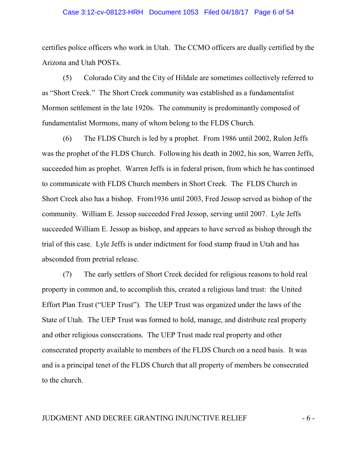#### Case 3:12-cv-08123-HRH Document 1053 Filed 04/18/17 Page 6 of 54

certifies police officers who work in Utah. The CCMO officers are dually certified by the Arizona and Utah POSTs.

(5) Colorado City and the City of Hildale are sometimes collectively referred to as "Short Creek." The Short Creek community was established as a fundamentalist Mormon settlement in the late 1920s. The community is predominantly composed of fundamentalist Mormons, many of whom belong to the FLDS Church.

(6) The FLDS Church is led by a prophet. From 1986 until 2002, Rulon Jeffs was the prophet of the FLDS Church. Following his death in 2002, his son, Warren Jeffs, succeeded him as prophet. Warren Jeffs is in federal prison, from which he has continued to communicate with FLDS Church members in Short Creek. The FLDS Church in Short Creek also has a bishop. From1936 until 2003, Fred Jessop served as bishop of the community. William E. Jessop succeeded Fred Jessop, serving until 2007. Lyle Jeffs succeeded William E. Jessop as bishop, and appears to have served as bishop through the trial of this case. Lyle Jeffs is under indictment for food stamp fraud in Utah and has absconded from pretrial release.

(7) The early settlers of Short Creek decided for religious reasons to hold real property in common and, to accomplish this, created a religious land trust: the United Effort Plan Trust ("UEP Trust"). The UEP Trust was organized under the laws of the State of Utah. The UEP Trust was formed to hold, manage, and distribute real property and other religious consecrations. The UEP Trust made real property and other consecrated property available to members of the FLDS Church on a need basis. It was and is a principal tenet of the FLDS Church that all property of members be consecrated to the church.

## JUDGMENT AND DECREE GRANTING INJUNCTIVE RELIEF  $-6$  -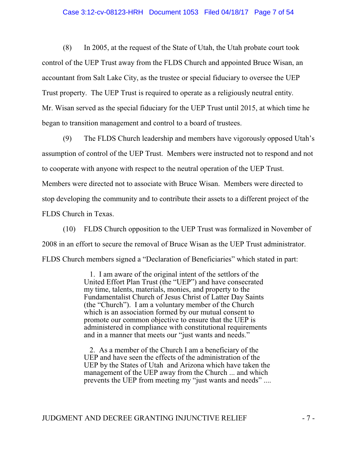#### Case 3:12-cv-08123-HRH Document 1053 Filed 04/18/17 Page 7 of 54

(8) In 2005, at the request of the State of Utah, the Utah probate court took control of the UEP Trust away from the FLDS Church and appointed Bruce Wisan, an accountant from Salt Lake City, as the trustee or special fiduciary to oversee the UEP Trust property. The UEP Trust is required to operate as a religiously neutral entity. Mr. Wisan served as the special fiduciary for the UEP Trust until 2015, at which time he began to transition management and control to a board of trustees.

(9) The FLDS Church leadership and members have vigorously opposed Utah's assumption of control of the UEP Trust. Members were instructed not to respond and not to cooperate with anyone with respect to the neutral operation of the UEP Trust. Members were directed not to associate with Bruce Wisan. Members were directed to stop developing the community and to contribute their assets to a different project of the FLDS Church in Texas.

(10) FLDS Church opposition to the UEP Trust was formalized in November of 2008 in an effort to secure the removal of Bruce Wisan as the UEP Trust administrator. FLDS Church members signed a "Declaration of Beneficiaries" which stated in part:

> 1. I am aware of the original intent of the settlors of the United Effort Plan Trust (the "UEP") and have consecrated my time, talents, materials, monies, and property to the Fundamentalist Church of Jesus Christ of Latter Day Saints (the "Church"). I am a voluntary member of the Church which is an association formed by our mutual consent to promote our common objective to ensure that the UEP is administered in compliance with constitutional requirements and in a manner that meets our "just wants and needs."

 2. As a member of the Church I am a beneficiary of the UEP and have seen the effects of the administration of the UEP by the States of Utah and Arizona which have taken the management of the UEP away from the Church ... and which prevents the UEP from meeting my "just wants and needs" ....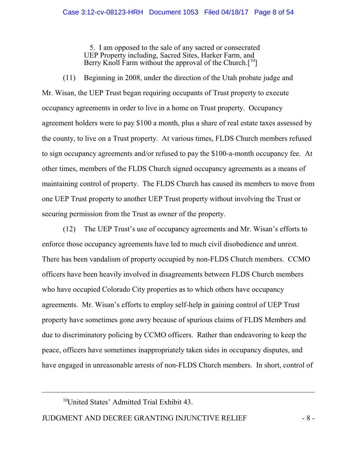5. I am opposed to the sale of any sacred or consecrated UEP Property including, Sacred Sites, Harker Farm, and Berry Knoll Farm without the approval of the Church.<sup>[10]</sup>

(11) Beginning in 2008, under the direction of the Utah probate judge and Mr. Wisan, the UEP Trust began requiring occupants of Trust property to execute occupancy agreements in order to live in a home on Trust property. Occupancy agreement holders were to pay \$100 a month, plus a share of real estate taxes assessed by the county, to live on a Trust property. At various times, FLDS Church members refused to sign occupancy agreements and/or refused to pay the \$100-a-month occupancy fee. At other times, members of the FLDS Church signed occupancy agreements as a means of maintaining control of property. The FLDS Church has caused its members to move from one UEP Trust property to another UEP Trust property without involving the Trust or securing permission from the Trust as owner of the property.

(12) The UEP Trust's use of occupancy agreements and Mr. Wisan's efforts to enforce those occupancy agreements have led to much civil disobedience and unrest. There has been vandalism of property occupied by non-FLDS Church members. CCMO officers have been heavily involved in disagreements between FLDS Church members who have occupied Colorado City properties as to which others have occupancy agreements. Mr. Wisan's efforts to employ self-help in gaining control of UEP Trust property have sometimes gone awry because of spurious claims of FLDS Members and due to discriminatory policing by CCMO officers. Rather than endeavoring to keep the peace, officers have sometimes inappropriately taken sides in occupancy disputes, and have engaged in unreasonable arrests of non-FLDS Church members. In short, control of

 $10$ United States' Admitted Trial Exhibit 43.

JUDGMENT AND DECREE GRANTING INJUNCTIVE RELIEF  $-8$  -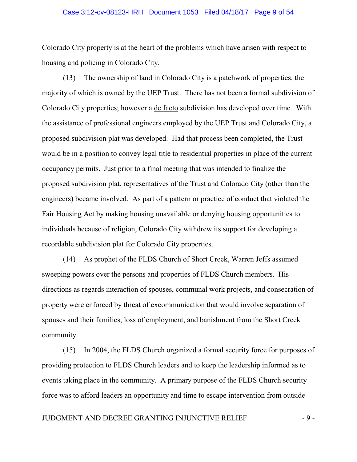#### Case 3:12-cv-08123-HRH Document 1053 Filed 04/18/17 Page 9 of 54

Colorado City property is at the heart of the problems which have arisen with respect to housing and policing in Colorado City.

(13) The ownership of land in Colorado City is a patchwork of properties, the majority of which is owned by the UEP Trust. There has not been a formal subdivision of Colorado City properties; however a de facto subdivision has developed over time. With the assistance of professional engineers employed by the UEP Trust and Colorado City, a proposed subdivision plat was developed. Had that process been completed, the Trust would be in a position to convey legal title to residential properties in place of the current occupancy permits. Just prior to a final meeting that was intended to finalize the proposed subdivision plat, representatives of the Trust and Colorado City (other than the engineers) became involved. As part of a pattern or practice of conduct that violated the Fair Housing Act by making housing unavailable or denying housing opportunities to individuals because of religion, Colorado City withdrew its support for developing a recordable subdivision plat for Colorado City properties.

(14) As prophet of the FLDS Church of Short Creek, Warren Jeffs assumed sweeping powers over the persons and properties of FLDS Church members. His directions as regards interaction of spouses, communal work projects, and consecration of property were enforced by threat of excommunication that would involve separation of spouses and their families, loss of employment, and banishment from the Short Creek community.

(15) In 2004, the FLDS Church organized a formal security force for purposes of providing protection to FLDS Church leaders and to keep the leadership informed as to events taking place in the community. A primary purpose of the FLDS Church security force was to afford leaders an opportunity and time to escape intervention from outside

## JUDGMENT AND DECREE GRANTING INJUNCTIVE RELIEF  $-9$  -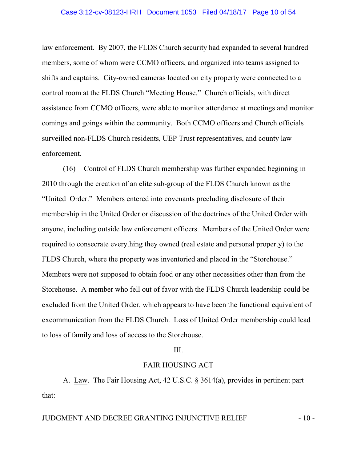law enforcement. By 2007, the FLDS Church security had expanded to several hundred members, some of whom were CCMO officers, and organized into teams assigned to shifts and captains. City-owned cameras located on city property were connected to a control room at the FLDS Church "Meeting House." Church officials, with direct assistance from CCMO officers, were able to monitor attendance at meetings and monitor comings and goings within the community. Both CCMO officers and Church officials surveilled non-FLDS Church residents, UEP Trust representatives, and county law enforcement.

(16) Control of FLDS Church membership was further expanded beginning in 2010 through the creation of an elite sub-group of the FLDS Church known as the "United Order." Members entered into covenants precluding disclosure of their membership in the United Order or discussion of the doctrines of the United Order with anyone, including outside law enforcement officers. Members of the United Order were required to consecrate everything they owned (real estate and personal property) to the FLDS Church, where the property was inventoried and placed in the "Storehouse." Members were not supposed to obtain food or any other necessities other than from the Storehouse. A member who fell out of favor with the FLDS Church leadership could be excluded from the United Order, which appears to have been the functional equivalent of excommunication from the FLDS Church. Loss of United Order membership could lead to loss of family and loss of access to the Storehouse.

#### III.

#### FAIR HOUSING ACT

A. Law. The Fair Housing Act, 42 U.S.C. § 3614(a), provides in pertinent part that:

## JUDGMENT AND DECREE GRANTING INJUNCTIVE RELIEF - 10 -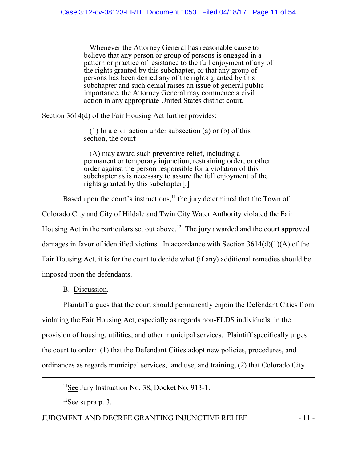Whenever the Attorney General has reasonable cause to believe that any person or group of persons is engaged in a pattern or practice of resistance to the full enjoyment of any of the rights granted by this subchapter, or that any group of persons has been denied any of the rights granted by this subchapter and such denial raises an issue of general public importance, the Attorney General may commence a civil action in any appropriate United States district court.

Section 3614(d) of the Fair Housing Act further provides:

 (1) In a civil action under subsection (a) or (b) of this section, the court –

 (A) may award such preventive relief, including a permanent or temporary injunction, restraining order, or other order against the person responsible for a violation of this subchapter as is necessary to assure the full enjoyment of the rights granted by this subchapter[.]

Based upon the court's instructions, $11$  the jury determined that the Town of

Colorado City and City of Hildale and Twin City Water Authority violated the Fair Housing Act in the particulars set out above.<sup>12</sup> The jury awarded and the court approved damages in favor of identified victims. In accordance with Section 3614(d)(1)(A) of the Fair Housing Act, it is for the court to decide what (if any) additional remedies should be imposed upon the defendants.

B. Discussion.

Plaintiff argues that the court should permanently enjoin the Defendant Cities from violating the Fair Housing Act, especially as regards non-FLDS individuals, in the provision of housing, utilities, and other municipal services. Plaintiff specifically urges the court to order: (1) that the Defendant Cities adopt new policies, procedures, and ordinances as regards municipal services, land use, and training, (2) that Colorado City

<sup>11</sup>See Jury Instruction No. 38, Docket No. 913-1.

 $12$ See supra p. 3.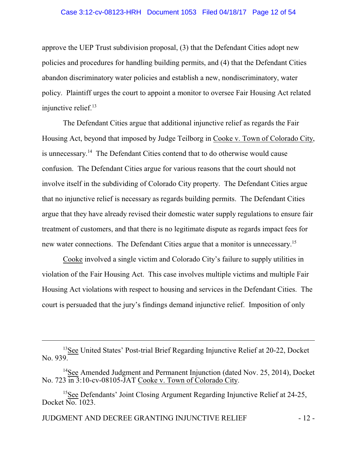#### Case 3:12-cv-08123-HRH Document 1053 Filed 04/18/17 Page 12 of 54

approve the UEP Trust subdivision proposal, (3) that the Defendant Cities adopt new policies and procedures for handling building permits, and (4) that the Defendant Cities abandon discriminatory water policies and establish a new, nondiscriminatory, water policy. Plaintiff urges the court to appoint a monitor to oversee Fair Housing Act related injunctive relief. 13

The Defendant Cities argue that additional injunctive relief as regards the Fair Housing Act, beyond that imposed by Judge Teilborg in Cooke v. Town of Colorado City, is unnecessary.<sup>14</sup> The Defendant Cities contend that to do otherwise would cause confusion. The Defendant Cities argue for various reasons that the court should not involve itself in the subdividing of Colorado City property. The Defendant Cities argue that no injunctive relief is necessary as regards building permits. The Defendant Cities argue that they have already revised their domestic water supply regulations to ensure fair treatment of customers, and that there is no legitimate dispute as regards impact fees for new water connections. The Defendant Cities argue that a monitor is unnecessary.<sup>15</sup>

Cooke involved a single victim and Colorado City's failure to supply utilities in violation of the Fair Housing Act. This case involves multiple victims and multiple Fair Housing Act violations with respect to housing and services in the Defendant Cities. The court is persuaded that the jury's findings demand injunctive relief. Imposition of only

<sup>&</sup>lt;sup>13</sup>See United States' Post-trial Brief Regarding Injunctive Relief at 20-22, Docket No. 939.

<sup>&</sup>lt;sup>14</sup>See Amended Judgment and Permanent Injunction (dated Nov. 25, 2014), Docket No. 723  $\overline{in}$  3:10-cv-08105-JAT Cooke v. Town of Colorado City.

<sup>&</sup>lt;sup>15</sup>See Defendants' Joint Closing Argument Regarding Injunctive Relief at 24-25, Docket No. 1023.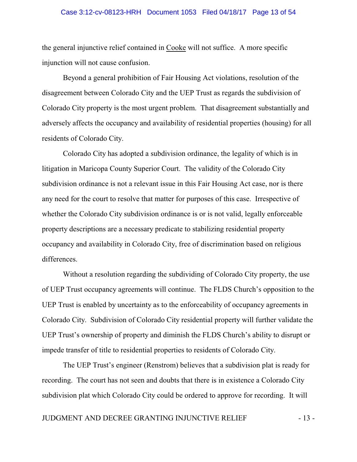#### Case 3:12-cv-08123-HRH Document 1053 Filed 04/18/17 Page 13 of 54

the general injunctive relief contained in Cooke will not suffice. A more specific injunction will not cause confusion.

Beyond a general prohibition of Fair Housing Act violations, resolution of the disagreement between Colorado City and the UEP Trust as regards the subdivision of Colorado City property is the most urgent problem. That disagreement substantially and adversely affects the occupancy and availability of residential properties (housing) for all residents of Colorado City.

Colorado City has adopted a subdivision ordinance, the legality of which is in litigation in Maricopa County Superior Court. The validity of the Colorado City subdivision ordinance is not a relevant issue in this Fair Housing Act case, nor is there any need for the court to resolve that matter for purposes of this case. Irrespective of whether the Colorado City subdivision ordinance is or is not valid, legally enforceable property descriptions are a necessary predicate to stabilizing residential property occupancy and availability in Colorado City, free of discrimination based on religious differences.

Without a resolution regarding the subdividing of Colorado City property, the use of UEP Trust occupancy agreements will continue. The FLDS Church's opposition to the UEP Trust is enabled by uncertainty as to the enforceability of occupancy agreements in Colorado City. Subdivision of Colorado City residential property will further validate the UEP Trust's ownership of property and diminish the FLDS Church's ability to disrupt or impede transfer of title to residential properties to residents of Colorado City.

The UEP Trust's engineer (Renstrom) believes that a subdivision plat is ready for recording. The court has not seen and doubts that there is in existence a Colorado City subdivision plat which Colorado City could be ordered to approve for recording. It will

## JUDGMENT AND DECREE GRANTING INJUNCTIVE RELIEF - 13 -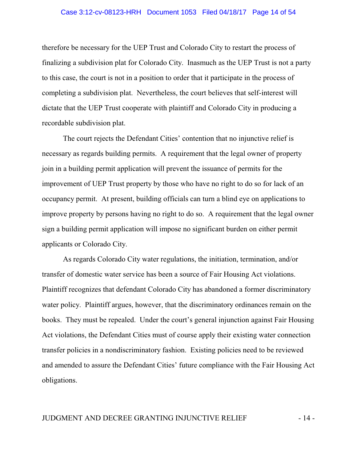#### Case 3:12-cv-08123-HRH Document 1053 Filed 04/18/17 Page 14 of 54

therefore be necessary for the UEP Trust and Colorado City to restart the process of finalizing a subdivision plat for Colorado City. Inasmuch as the UEP Trust is not a party to this case, the court is not in a position to order that it participate in the process of completing a subdivision plat. Nevertheless, the court believes that self-interest will dictate that the UEP Trust cooperate with plaintiff and Colorado City in producing a recordable subdivision plat.

The court rejects the Defendant Cities' contention that no injunctive relief is necessary as regards building permits. A requirement that the legal owner of property join in a building permit application will prevent the issuance of permits for the improvement of UEP Trust property by those who have no right to do so for lack of an occupancy permit. At present, building officials can turn a blind eye on applications to improve property by persons having no right to do so. A requirement that the legal owner sign a building permit application will impose no significant burden on either permit applicants or Colorado City.

As regards Colorado City water regulations, the initiation, termination, and/or transfer of domestic water service has been a source of Fair Housing Act violations. Plaintiff recognizes that defendant Colorado City has abandoned a former discriminatory water policy. Plaintiff argues, however, that the discriminatory ordinances remain on the books. They must be repealed. Under the court's general injunction against Fair Housing Act violations, the Defendant Cities must of course apply their existing water connection transfer policies in a nondiscriminatory fashion. Existing policies need to be reviewed and amended to assure the Defendant Cities' future compliance with the Fair Housing Act obligations.

## JUDGMENT AND DECREE GRANTING INJUNCTIVE RELIEF  $-14$  -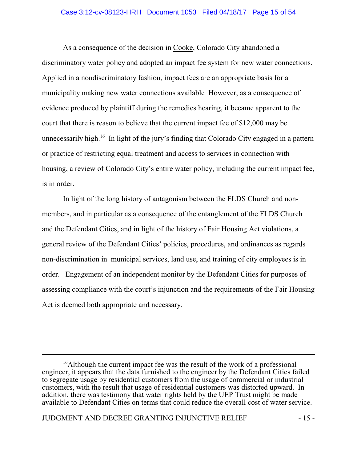#### Case 3:12-cv-08123-HRH Document 1053 Filed 04/18/17 Page 15 of 54

As a consequence of the decision in Cooke, Colorado City abandoned a discriminatory water policy and adopted an impact fee system for new water connections. Applied in a nondiscriminatory fashion, impact fees are an appropriate basis for a municipality making new water connections available However, as a consequence of evidence produced by plaintiff during the remedies hearing, it became apparent to the court that there is reason to believe that the current impact fee of \$12,000 may be unnecessarily high.<sup>16</sup> In light of the jury's finding that Colorado City engaged in a pattern or practice of restricting equal treatment and access to services in connection with housing, a review of Colorado City's entire water policy, including the current impact fee, is in order.

In light of the long history of antagonism between the FLDS Church and nonmembers, and in particular as a consequence of the entanglement of the FLDS Church and the Defendant Cities, and in light of the history of Fair Housing Act violations, a general review of the Defendant Cities' policies, procedures, and ordinances as regards non-discrimination in municipal services, land use, and training of city employees is in order. Engagement of an independent monitor by the Defendant Cities for purposes of assessing compliance with the court's injunction and the requirements of the Fair Housing Act is deemed both appropriate and necessary.

<sup>&</sup>lt;sup>16</sup>Although the current impact fee was the result of the work of a professional engineer, it appears that the data furnished to the engineer by the Defendant Cities failed to segregate usage by residential customers from the usage of commercial or industrial customers, with the result that usage of residential customers was distorted upward. In addition, there was testimony that water rights held by the UEP Trust might be made available to Defendant Cities on terms that could reduce the overall cost of water service.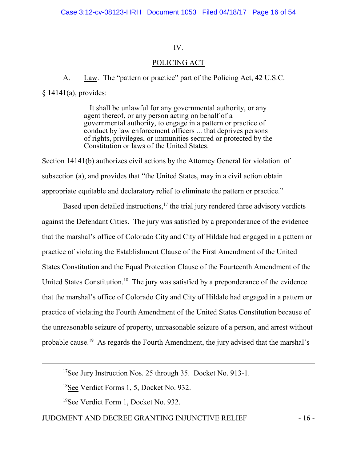## IV.

## POLICING ACT

A. Law. The "pattern or practice" part of the Policing Act, 42 U.S.C. § 14141(a), provides:

> It shall be unlawful for any governmental authority, or any agent thereof, or any person acting on behalf of a governmental authority, to engage in a pattern or practice of conduct by law enforcement officers ... that deprives persons of rights, privileges, or immunities secured or protected by the Constitution or laws of the United States.

Section 14141(b) authorizes civil actions by the Attorney General for violation of subsection (a), and provides that "the United States, may in a civil action obtain appropriate equitable and declaratory relief to eliminate the pattern or practice."

Based upon detailed instructions, $17$  the trial jury rendered three advisory verdicts against the Defendant Cities. The jury was satisfied by a preponderance of the evidence that the marshal's office of Colorado City and City of Hildale had engaged in a pattern or practice of violating the Establishment Clause of the First Amendment of the United States Constitution and the Equal Protection Clause of the Fourteenth Amendment of the United States Constitution.<sup>18</sup> The jury was satisfied by a preponderance of the evidence that the marshal's office of Colorado City and City of Hildale had engaged in a pattern or practice of violating the Fourth Amendment of the United States Constitution because of the unreasonable seizure of property, unreasonable seizure of a person, and arrest without probable cause.<sup>19</sup> As regards the Fourth Amendment, the jury advised that the marshal's

## JUDGMENT AND DECREE GRANTING INJUNCTIVE RELIEF - 16 -

<sup>&</sup>lt;sup>17</sup>See Jury Instruction Nos. 25 through 35. Docket No. 913-1.

<sup>&</sup>lt;sup>18</sup>See Verdict Forms 1, 5, Docket No. 932.

<sup>&</sup>lt;sup>19</sup>See Verdict Form 1, Docket No. 932.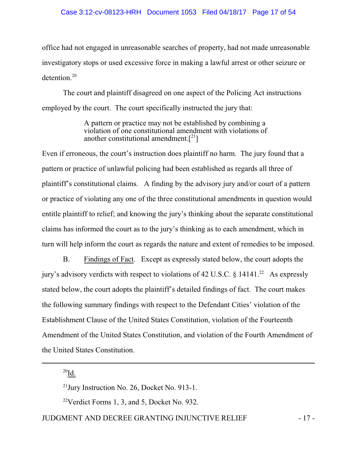#### Case 3:12-cv-08123-HRH Document 1053 Filed 04/18/17 Page 17 of 54

office had not engaged in unreasonable searches of property, had not made unreasonable investigatory stops or used excessive force in making a lawful arrest or other seizure or detention.<sup>20</sup>

The court and plaintiff disagreed on one aspect of the Policing Act instructions employed by the court. The court specifically instructed the jury that:

> A pattern or practice may not be established by combining a violation of one constitutional amendment with violations of another constitutional amendment. $[2^1]$

Even if erroneous, the court's instruction does plaintiff no harm. The jury found that a pattern or practice of unlawful policing had been established as regards all three of plaintiff's constitutional claims. A finding by the advisory jury and/or court of a pattern or practice of violating any one of the three constitutional amendments in question would entitle plaintiff to relief; and knowing the jury's thinking about the separate constitutional claims has informed the court as to the jury's thinking as to each amendment, which in turn will help inform the court as regards the nature and extent of remedies to be imposed.

B. Findings of Fact. Except as expressly stated below, the court adopts the jury's advisory verdicts with respect to violations of 42 U.S.C.  $\S$  14141.<sup>22</sup> As expressly stated below, the court adopts the plaintiff's detailed findings of fact. The court makes the following summary findings with respect to the Defendant Cities' violation of the Establishment Clause of the United States Constitution, violation of the Fourteenth Amendment of the United States Constitution, and violation of the Fourth Amendment of the United States Constitution.

 $^{20}$ Id.

 $^{21}$ Jury Instruction No. 26, Docket No. 913-1.

<sup>22</sup>Verdict Forms 1, 3, and 5, Docket No. 932.

## JUDGMENT AND DECREE GRANTING INJUNCTIVE RELIEF - 17 -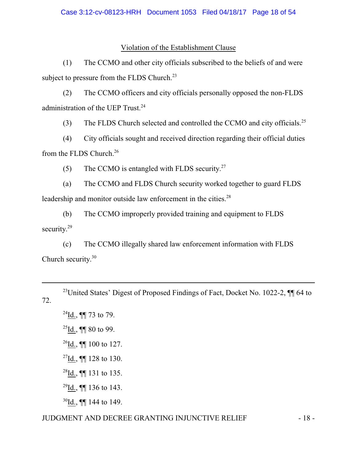## Violation of the Establishment Clause

(1) The CCMO and other city officials subscribed to the beliefs of and were subject to pressure from the FLDS Church. $^{23}$ 

(2) The CCMO officers and city officials personally opposed the non-FLDS administration of the UEP Trust.<sup>24</sup>

(3) The FLDS Church selected and controlled the CCMO and city officials.<sup>25</sup>

(4) City officials sought and received direction regarding their official duties from the FLDS Church.<sup>26</sup>

(5) The CCMO is entangled with FLDS security.<sup>27</sup>

(a) The CCMO and FLDS Church security worked together to guard FLDS leadership and monitor outside law enforcement in the cities.<sup>28</sup>

(b) The CCMO improperly provided training and equipment to FLDS security.<sup>29</sup>

(c) The CCMO illegally shared law enforcement information with FLDS Church security. 30

<sup>23</sup>United States' Digest of Proposed Findings of Fact, Docket No. 1022-2,  $\P\P$  64 to 72.

 $^{24}$ Id., ¶[ 73 to 79.

 $^{25}$ Id., ¶¶ 80 to 99.

 $^{26}$ Id., ¶¶ 100 to 127.

 $^{27}$ Id., ¶¶ 128 to 130.

<sup>28</sup>Id., ¶¶ 131 to 135.

 $^{29}$ Id., ¶[ 136 to 143.

 $30$ Id., **[[**] 144 to 149.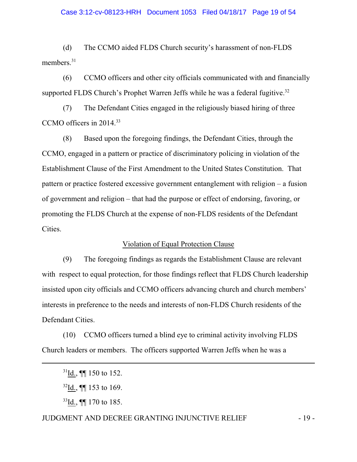#### Case 3:12-cv-08123-HRH Document 1053 Filed 04/18/17 Page 19 of 54

(d) The CCMO aided FLDS Church security's harassment of non-FLDS members.<sup>31</sup>

(6) CCMO officers and other city officials communicated with and financially supported FLDS Church's Prophet Warren Jeffs while he was a federal fugitive. $32$ 

(7) The Defendant Cities engaged in the religiously biased hiring of three CCMO officers in 2014.<sup>33</sup>

(8) Based upon the foregoing findings, the Defendant Cities, through the CCMO, engaged in a pattern or practice of discriminatory policing in violation of the Establishment Clause of the First Amendment to the United States Constitution. That pattern or practice fostered excessive government entanglement with religion – a fusion of government and religion – that had the purpose or effect of endorsing, favoring, or promoting the FLDS Church at the expense of non-FLDS residents of the Defendant Cities.

## Violation of Equal Protection Clause

(9) The foregoing findings as regards the Establishment Clause are relevant with respect to equal protection, for those findings reflect that FLDS Church leadership insisted upon city officials and CCMO officers advancing church and church members' interests in preference to the needs and interests of non-FLDS Church residents of the Defendant Cities.

(10) CCMO officers turned a blind eye to criminal activity involving FLDS Church leaders or members. The officers supported Warren Jeffs when he was a

<sup>33</sup>Id., ¶¶ 170 to 185.

## JUDGMENT AND DECREE GRANTING INJUNCTIVE RELIEF - 19 -

 $31$ Id., **[14** 150 to 152.]

 $32$ Id., **[161]** 153 to 169.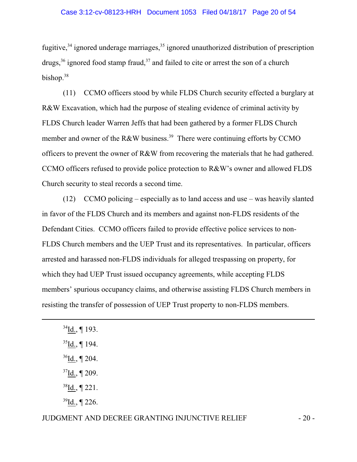fugitive, $34$  ignored underage marriages, $35$  ignored unauthorized distribution of prescription drugs,<sup>36</sup> ignored food stamp fraud,<sup>37</sup> and failed to cite or arrest the son of a church bishop.<sup>38</sup>

(11) CCMO officers stood by while FLDS Church security effected a burglary at R&W Excavation, which had the purpose of stealing evidence of criminal activity by FLDS Church leader Warren Jeffs that had been gathered by a former FLDS Church member and owner of the R&W business.<sup>39</sup> There were continuing efforts by CCMO officers to prevent the owner of R&W from recovering the materials that he had gathered. CCMO officers refused to provide police protection to R&W's owner and allowed FLDS Church security to steal records a second time.

(12) CCMO policing – especially as to land access and use – was heavily slanted in favor of the FLDS Church and its members and against non-FLDS residents of the Defendant Cities. CCMO officers failed to provide effective police services to non-FLDS Church members and the UEP Trust and its representatives. In particular, officers arrested and harassed non-FLDS individuals for alleged trespassing on property, for which they had UEP Trust issued occupancy agreements, while accepting FLDS members' spurious occupancy claims, and otherwise assisting FLDS Church members in resisting the transfer of possession of UEP Trust property to non-FLDS members.

- $38$ Id., ¶ 221.
- $39$ Id., ¶ 226.

 $34$ Id., ¶ 193.

 $35$ Id., ¶ 194.

 $36$ Id., ¶ 204.

 $37$ Id., ¶ 209.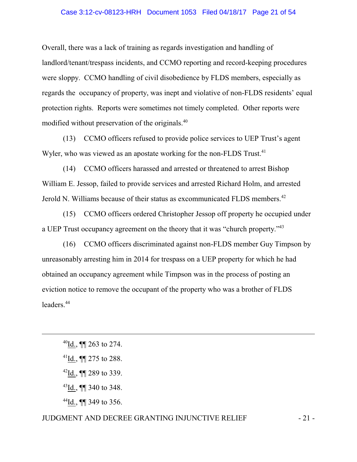#### Case 3:12-cv-08123-HRH Document 1053 Filed 04/18/17 Page 21 of 54

Overall, there was a lack of training as regards investigation and handling of landlord/tenant/trespass incidents, and CCMO reporting and record-keeping procedures were sloppy. CCMO handling of civil disobedience by FLDS members, especially as regards the occupancy of property, was inept and violative of non-FLDS residents' equal protection rights. Reports were sometimes not timely completed. Other reports were modified without preservation of the originals.<sup>40</sup>

(13) CCMO officers refused to provide police services to UEP Trust's agent Wyler, who was viewed as an apostate working for the non-FLDS Trust.<sup>41</sup>

(14) CCMO officers harassed and arrested or threatened to arrest Bishop William E. Jessop, failed to provide services and arrested Richard Holm, and arrested Jerold N. Williams because of their status as excommunicated FLDS members.<sup>42</sup>

(15) CCMO officers ordered Christopher Jessop off property he occupied under a UEP Trust occupancy agreement on the theory that it was "church property."<sup>43</sup>

(16) CCMO officers discriminated against non-FLDS member Guy Timpson by unreasonably arresting him in 2014 for trespass on a UEP property for which he had obtained an occupancy agreement while Timpson was in the process of posting an eviction notice to remove the occupant of the property who was a brother of FLDS leaders.<sup>44</sup>

## JUDGMENT AND DECREE GRANTING INJUNCTIVE RELIEF  $-21$  -

<sup>40</sup>Id., ¶¶ 263 to 274.

 $^{41}$ Id., ¶¶ 275 to 288.

 $^{42}$ Id., ¶¶ 289 to 339.

 $^{43}$ Id., ¶ 340 to 348.

<sup>44</sup>Id., ¶¶ 349 to 356.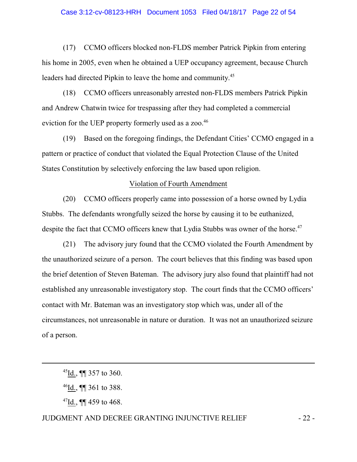#### Case 3:12-cv-08123-HRH Document 1053 Filed 04/18/17 Page 22 of 54

(17) CCMO officers blocked non-FLDS member Patrick Pipkin from entering his home in 2005, even when he obtained a UEP occupancy agreement, because Church leaders had directed Pipkin to leave the home and community.<sup>45</sup>

(18) CCMO officers unreasonably arrested non-FLDS members Patrick Pipkin and Andrew Chatwin twice for trespassing after they had completed a commercial eviction for the UEP property formerly used as a zoo.<sup>46</sup>

(19) Based on the foregoing findings, the Defendant Cities' CCMO engaged in a pattern or practice of conduct that violated the Equal Protection Clause of the United States Constitution by selectively enforcing the law based upon religion.

#### Violation of Fourth Amendment

(20) CCMO officers properly came into possession of a horse owned by Lydia Stubbs. The defendants wrongfully seized the horse by causing it to be euthanized, despite the fact that CCMO officers knew that Lydia Stubbs was owner of the horse.<sup>47</sup>

(21) The advisory jury found that the CCMO violated the Fourth Amendment by the unauthorized seizure of a person. The court believes that this finding was based upon the brief detention of Steven Bateman. The advisory jury also found that plaintiff had not established any unreasonable investigatory stop. The court finds that the CCMO officers' contact with Mr. Bateman was an investigatory stop which was, under all of the circumstances, not unreasonable in nature or duration. It was not an unauthorized seizure of a person.

 $^{47}$ <u>Id.,</u> ¶¶ 459 to 468.

## JUDGMENT AND DECREE GRANTING INJUNCTIVE RELIEF  $-22$ -

 $45$ Id., ¶¶ 357 to 360.

<sup>46</sup>Id., ¶¶ 361 to 388.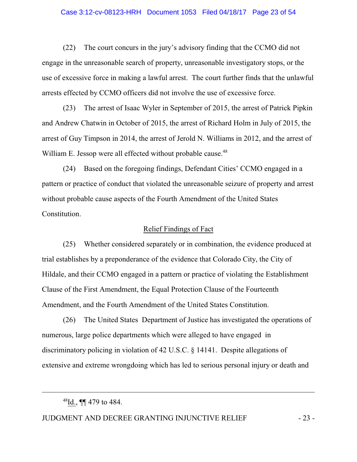#### Case 3:12-cv-08123-HRH Document 1053 Filed 04/18/17 Page 23 of 54

(22) The court concurs in the jury's advisory finding that the CCMO did not engage in the unreasonable search of property, unreasonable investigatory stops, or the use of excessive force in making a lawful arrest. The court further finds that the unlawful arrests effected by CCMO officers did not involve the use of excessive force.

(23) The arrest of Isaac Wyler in September of 2015, the arrest of Patrick Pipkin and Andrew Chatwin in October of 2015, the arrest of Richard Holm in July of 2015, the arrest of Guy Timpson in 2014, the arrest of Jerold N. Williams in 2012, and the arrest of William E. Jessop were all effected without probable cause.<sup>48</sup>

(24) Based on the foregoing findings, Defendant Cities' CCMO engaged in a pattern or practice of conduct that violated the unreasonable seizure of property and arrest without probable cause aspects of the Fourth Amendment of the United States Constitution.

## Relief Findings of Fact

(25) Whether considered separately or in combination, the evidence produced at trial establishes by a preponderance of the evidence that Colorado City, the City of Hildale, and their CCMO engaged in a pattern or practice of violating the Establishment Clause of the First Amendment, the Equal Protection Clause of the Fourteenth Amendment, and the Fourth Amendment of the United States Constitution.

(26) The United States Department of Justice has investigated the operations of numerous, large police departments which were alleged to have engaged in discriminatory policing in violation of 42 U.S.C. § 14141. Despite allegations of extensive and extreme wrongdoing which has led to serious personal injury or death and

 $^{48}$ <u>Id.,</u> ¶¶ 479 to 484.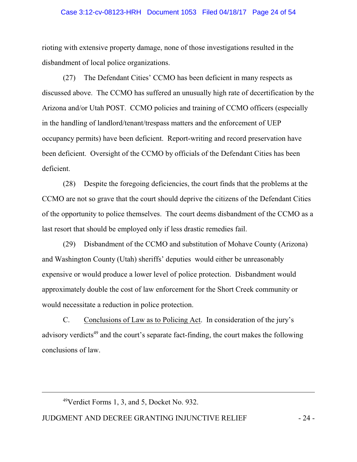#### Case 3:12-cv-08123-HRH Document 1053 Filed 04/18/17 Page 24 of 54

rioting with extensive property damage, none of those investigations resulted in the disbandment of local police organizations.

(27) The Defendant Cities' CCMO has been deficient in many respects as discussed above. The CCMO has suffered an unusually high rate of decertification by the Arizona and/or Utah POST. CCMO policies and training of CCMO officers (especially in the handling of landlord/tenant/trespass matters and the enforcement of UEP occupancy permits) have been deficient. Report-writing and record preservation have been deficient. Oversight of the CCMO by officials of the Defendant Cities has been deficient.

(28) Despite the foregoing deficiencies, the court finds that the problems at the CCMO are not so grave that the court should deprive the citizens of the Defendant Cities of the opportunity to police themselves. The court deems disbandment of the CCMO as a last resort that should be employed only if less drastic remedies fail.

(29) Disbandment of the CCMO and substitution of Mohave County (Arizona) and Washington County (Utah) sheriffs' deputies would either be unreasonably expensive or would produce a lower level of police protection. Disbandment would approximately double the cost of law enforcement for the Short Creek community or would necessitate a reduction in police protection.

C. Conclusions of Law as to Policing Act. In consideration of the jury's advisory verdicts<sup>49</sup> and the court's separate fact-finding, the court makes the following conclusions of law.

 $49$ Verdict Forms 1, 3, and 5, Docket No. 932.

## JUDGMENT AND DECREE GRANTING INJUNCTIVE RELIEF - 24 -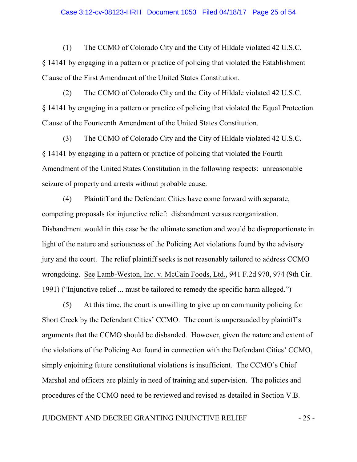#### Case 3:12-cv-08123-HRH Document 1053 Filed 04/18/17 Page 25 of 54

(1) The CCMO of Colorado City and the City of Hildale violated 42 U.S.C. § 14141 by engaging in a pattern or practice of policing that violated the Establishment Clause of the First Amendment of the United States Constitution.

(2) The CCMO of Colorado City and the City of Hildale violated 42 U.S.C. § 14141 by engaging in a pattern or practice of policing that violated the Equal Protection Clause of the Fourteenth Amendment of the United States Constitution.

(3) The CCMO of Colorado City and the City of Hildale violated 42 U.S.C. § 14141 by engaging in a pattern or practice of policing that violated the Fourth Amendment of the United States Constitution in the following respects: unreasonable seizure of property and arrests without probable cause.

(4) Plaintiff and the Defendant Cities have come forward with separate, competing proposals for injunctive relief: disbandment versus reorganization. Disbandment would in this case be the ultimate sanction and would be disproportionate in light of the nature and seriousness of the Policing Act violations found by the advisory jury and the court. The relief plaintiff seeks is not reasonably tailored to address CCMO wrongdoing. See Lamb-Weston, Inc. v. McCain Foods, Ltd., 941 F.2d 970, 974 (9th Cir. 1991) ("Injunctive relief ... must be tailored to remedy the specific harm alleged.")

(5) At this time, the court is unwilling to give up on community policing for Short Creek by the Defendant Cities' CCMO. The court is unpersuaded by plaintiff's arguments that the CCMO should be disbanded. However, given the nature and extent of the violations of the Policing Act found in connection with the Defendant Cities' CCMO, simply enjoining future constitutional violations is insufficient. The CCMO's Chief Marshal and officers are plainly in need of training and supervision. The policies and procedures of the CCMO need to be reviewed and revised as detailed in Section V.B.

## JUDGMENT AND DECREE GRANTING INJUNCTIVE RELIEF  $-25$  -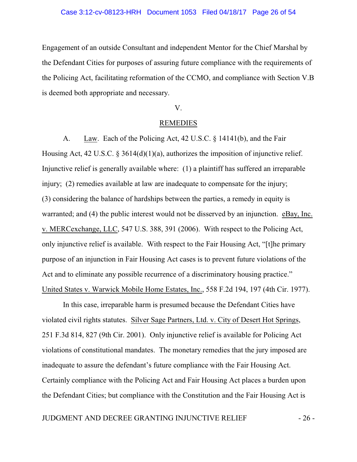#### Case 3:12-cv-08123-HRH Document 1053 Filed 04/18/17 Page 26 of 54

Engagement of an outside Consultant and independent Mentor for the Chief Marshal by the Defendant Cities for purposes of assuring future compliance with the requirements of the Policing Act, facilitating reformation of the CCMO, and compliance with Section V.B is deemed both appropriate and necessary.

#### V.

#### REMEDIES

A. Law. Each of the Policing Act, 42 U.S.C. § 14141(b), and the Fair Housing Act, 42 U.S.C. § 3614(d)(1)(a), authorizes the imposition of injunctive relief. Injunctive relief is generally available where: (1) a plaintiff has suffered an irreparable injury; (2) remedies available at law are inadequate to compensate for the injury; (3) considering the balance of hardships between the parties, a remedy in equity is warranted; and (4) the public interest would not be disserved by an injunction. eBay, Inc. v. MERCexchange, LLC, 547 U.S. 388, 391 (2006). With respect to the Policing Act, only injunctive relief is available. With respect to the Fair Housing Act, "[t]he primary purpose of an injunction in Fair Housing Act cases is to prevent future violations of the Act and to eliminate any possible recurrence of a discriminatory housing practice." United States v. Warwick Mobile Home Estates, Inc., 558 F.2d 194, 197 (4th Cir. 1977).

In this case, irreparable harm is presumed because the Defendant Cities have violated civil rights statutes. Silver Sage Partners, Ltd. v. City of Desert Hot Springs, 251 F.3d 814, 827 (9th Cir. 2001). Only injunctive relief is available for Policing Act violations of constitutional mandates. The monetary remedies that the jury imposed are inadequate to assure the defendant's future compliance with the Fair Housing Act. Certainly compliance with the Policing Act and Fair Housing Act places a burden upon the Defendant Cities; but compliance with the Constitution and the Fair Housing Act is

## JUDGMENT AND DECREE GRANTING INJUNCTIVE RELIEF - 26 -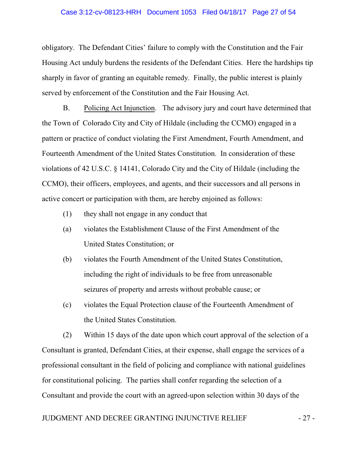#### Case 3:12-cv-08123-HRH Document 1053 Filed 04/18/17 Page 27 of 54

obligatory. The Defendant Cities' failure to comply with the Constitution and the Fair Housing Act unduly burdens the residents of the Defendant Cities. Here the hardships tip sharply in favor of granting an equitable remedy. Finally, the public interest is plainly served by enforcement of the Constitution and the Fair Housing Act.

B. Policing Act Injunction. The advisory jury and court have determined that the Town of Colorado City and City of Hildale (including the CCMO) engaged in a pattern or practice of conduct violating the First Amendment, Fourth Amendment, and Fourteenth Amendment of the United States Constitution. In consideration of these violations of 42 U.S.C. § 14141, Colorado City and the City of Hildale (including the CCMO), their officers, employees, and agents, and their successors and all persons in active concert or participation with them, are hereby enjoined as follows:

- (1) they shall not engage in any conduct that
- (a) violates the Establishment Clause of the First Amendment of the United States Constitution; or
- (b) violates the Fourth Amendment of the United States Constitution, including the right of individuals to be free from unreasonable seizures of property and arrests without probable cause; or
- (c) violates the Equal Protection clause of the Fourteenth Amendment of the United States Constitution.

(2) Within 15 days of the date upon which court approval of the selection of a Consultant is granted, Defendant Cities, at their expense, shall engage the services of a professional consultant in the field of policing and compliance with national guidelines for constitutional policing. The parties shall confer regarding the selection of a Consultant and provide the court with an agreed-upon selection within 30 days of the

## JUDGMENT AND DECREE GRANTING INJUNCTIVE RELIEF  $-27$  -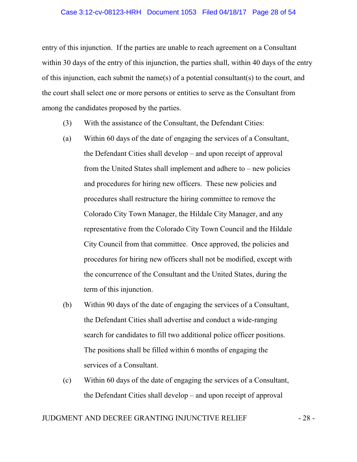#### Case 3:12-cv-08123-HRH Document 1053 Filed 04/18/17 Page 28 of 54

entry of this injunction. If the parties are unable to reach agreement on a Consultant within 30 days of the entry of this injunction, the parties shall, within 40 days of the entry of this injunction, each submit the name(s) of a potential consultant(s) to the court, and the court shall select one or more persons or entities to serve as the Consultant from among the candidates proposed by the parties.

- (3) With the assistance of the Consultant, the Defendant Cities:
- (a) Within 60 days of the date of engaging the services of a Consultant, the Defendant Cities shall develop – and upon receipt of approval from the United States shall implement and adhere to – new policies and procedures for hiring new officers. These new policies and procedures shall restructure the hiring committee to remove the Colorado City Town Manager, the Hildale City Manager, and any representative from the Colorado City Town Council and the Hildale City Council from that committee. Once approved, the policies and procedures for hiring new officers shall not be modified, except with the concurrence of the Consultant and the United States, during the term of this injunction.
- (b) Within 90 days of the date of engaging the services of a Consultant, the Defendant Cities shall advertise and conduct a wide-ranging search for candidates to fill two additional police officer positions. The positions shall be filled within 6 months of engaging the services of a Consultant.
- (c) Within 60 days of the date of engaging the services of a Consultant, the Defendant Cities shall develop – and upon receipt of approval

## JUDGMENT AND DECREE GRANTING INJUNCTIVE RELIEF  $-28$  -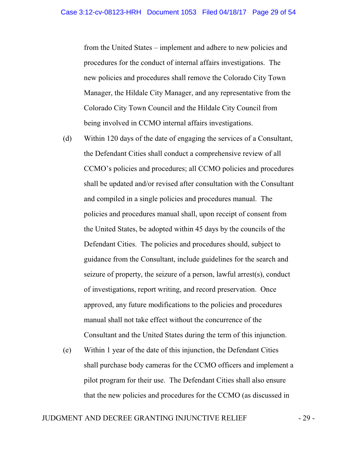from the United States – implement and adhere to new policies and procedures for the conduct of internal affairs investigations. The new policies and procedures shall remove the Colorado City Town Manager, the Hildale City Manager, and any representative from the Colorado City Town Council and the Hildale City Council from being involved in CCMO internal affairs investigations.

- (d) Within 120 days of the date of engaging the services of a Consultant, the Defendant Cities shall conduct a comprehensive review of all CCMO's policies and procedures; all CCMO policies and procedures shall be updated and/or revised after consultation with the Consultant and compiled in a single policies and procedures manual. The policies and procedures manual shall, upon receipt of consent from the United States, be adopted within 45 days by the councils of the Defendant Cities. The policies and procedures should, subject to guidance from the Consultant, include guidelines for the search and seizure of property, the seizure of a person, lawful arrest(s), conduct of investigations, report writing, and record preservation. Once approved, any future modifications to the policies and procedures manual shall not take effect without the concurrence of the Consultant and the United States during the term of this injunction.
- (e) Within 1 year of the date of this injunction, the Defendant Cities shall purchase body cameras for the CCMO officers and implement a pilot program for their use. The Defendant Cities shall also ensure that the new policies and procedures for the CCMO (as discussed in

## JUDGMENT AND DECREE GRANTING INJUNCTIVE RELIEF  $-29$  -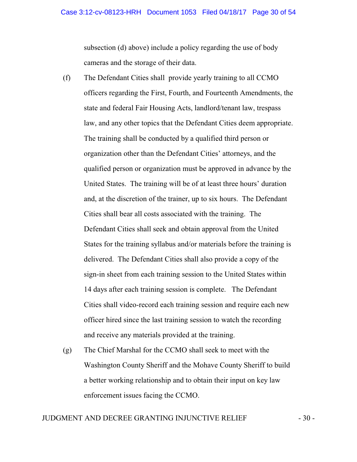subsection (d) above) include a policy regarding the use of body cameras and the storage of their data.

- (f) The Defendant Cities shall provide yearly training to all CCMO officers regarding the First, Fourth, and Fourteenth Amendments, the state and federal Fair Housing Acts, landlord/tenant law, trespass law, and any other topics that the Defendant Cities deem appropriate. The training shall be conducted by a qualified third person or organization other than the Defendant Cities' attorneys, and the qualified person or organization must be approved in advance by the United States. The training will be of at least three hours' duration and, at the discretion of the trainer, up to six hours. The Defendant Cities shall bear all costs associated with the training. The Defendant Cities shall seek and obtain approval from the United States for the training syllabus and/or materials before the training is delivered. The Defendant Cities shall also provide a copy of the sign-in sheet from each training session to the United States within 14 days after each training session is complete. The Defendant Cities shall video-record each training session and require each new officer hired since the last training session to watch the recording and receive any materials provided at the training.
- (g) The Chief Marshal for the CCMO shall seek to meet with the Washington County Sheriff and the Mohave County Sheriff to build a better working relationship and to obtain their input on key law enforcement issues facing the CCMO.

## JUDGMENT AND DECREE GRANTING INJUNCTIVE RELIEF - 30 -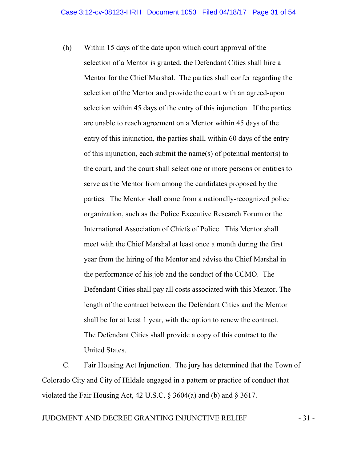(h) Within 15 days of the date upon which court approval of the selection of a Mentor is granted, the Defendant Cities shall hire a Mentor for the Chief Marshal. The parties shall confer regarding the selection of the Mentor and provide the court with an agreed-upon selection within 45 days of the entry of this injunction. If the parties are unable to reach agreement on a Mentor within 45 days of the entry of this injunction, the parties shall, within 60 days of the entry of this injunction, each submit the name(s) of potential mentor(s) to the court, and the court shall select one or more persons or entities to serve as the Mentor from among the candidates proposed by the parties. The Mentor shall come from a nationally-recognized police organization, such as the Police Executive Research Forum or the International Association of Chiefs of Police. This Mentor shall meet with the Chief Marshal at least once a month during the first year from the hiring of the Mentor and advise the Chief Marshal in the performance of his job and the conduct of the CCMO. The Defendant Cities shall pay all costs associated with this Mentor. The length of the contract between the Defendant Cities and the Mentor shall be for at least 1 year, with the option to renew the contract. The Defendant Cities shall provide a copy of this contract to the United States.

C. Fair Housing Act Injunction. The jury has determined that the Town of Colorado City and City of Hildale engaged in a pattern or practice of conduct that violated the Fair Housing Act, 42 U.S.C. § 3604(a) and (b) and § 3617.

## JUDGMENT AND DECREE GRANTING INJUNCTIVE RELIEF  $-31$  -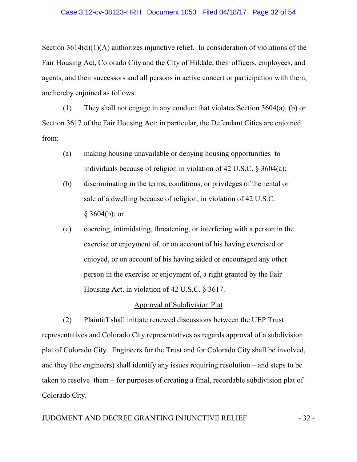#### Case 3:12-cv-08123-HRH Document 1053 Filed 04/18/17 Page 32 of 54

Section 3614(d)(1)(A) authorizes injunctive relief. In consideration of violations of the Fair Housing Act, Colorado City and the City of Hildale, their officers, employees, and agents, and their successors and all persons in active concert or participation with them, are hereby enjoined as follows:

(1) They shall not engage in any conduct that violates Section 3604(a), (b) or Section 3617 of the Fair Housing Act; in particular, the Defendant Cities are enjoined from:

- (a) making housing unavailable or denying housing opportunities to individuals because of religion in violation of 42 U.S.C. § 3604(a);
- (b) discriminating in the terms, conditions, or privileges of the rental or sale of a dwelling because of religion, in violation of 42 U.S.C.  $§$  3604(b); or
- (c) coercing, intimidating, threatening, or interfering with a person in the exercise or enjoyment of, or on account of his having exercised or enjoyed, or on account of his having aided or encouraged any other person in the exercise or enjoyment of, a right granted by the Fair Housing Act, in violation of 42 U.S.C. § 3617.

## Approval of Subdivision Plat

(2) Plaintiff shall initiate renewed discussions between the UEP Trust representatives and Colorado City representatives as regards approval of a subdivision plat of Colorado City. Engineers for the Trust and for Colorado City shall be involved, and they (the engineers) shall identify any issues requiring resolution – and steps to be taken to resolve them – for purposes of creating a final, recordable subdivision plat of Colorado City.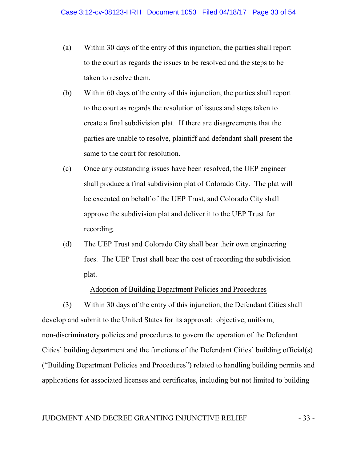- (a) Within 30 days of the entry of this injunction, the parties shall report to the court as regards the issues to be resolved and the steps to be taken to resolve them.
- (b) Within 60 days of the entry of this injunction, the parties shall report to the court as regards the resolution of issues and steps taken to create a final subdivision plat. If there are disagreements that the parties are unable to resolve, plaintiff and defendant shall present the same to the court for resolution.
- (c) Once any outstanding issues have been resolved, the UEP engineer shall produce a final subdivision plat of Colorado City. The plat will be executed on behalf of the UEP Trust, and Colorado City shall approve the subdivision plat and deliver it to the UEP Trust for recording.
- (d) The UEP Trust and Colorado City shall bear their own engineering fees. The UEP Trust shall bear the cost of recording the subdivision plat.

#### Adoption of Building Department Policies and Procedures

(3) Within 30 days of the entry of this injunction, the Defendant Cities shall develop and submit to the United States for its approval: objective, uniform, non-discriminatory policies and procedures to govern the operation of the Defendant Cities' building department and the functions of the Defendant Cities' building official(s) ("Building Department Policies and Procedures") related to handling building permits and applications for associated licenses and certificates, including but not limited to building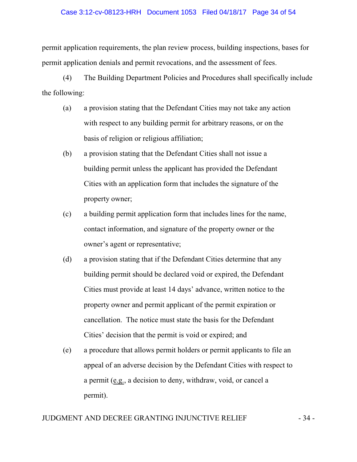## Case 3:12-cv-08123-HRH Document 1053 Filed 04/18/17 Page 34 of 54

permit application requirements, the plan review process, building inspections, bases for permit application denials and permit revocations, and the assessment of fees.

(4) The Building Department Policies and Procedures shall specifically include the following:

- (a) a provision stating that the Defendant Cities may not take any action with respect to any building permit for arbitrary reasons, or on the basis of religion or religious affiliation;
- (b) a provision stating that the Defendant Cities shall not issue a building permit unless the applicant has provided the Defendant Cities with an application form that includes the signature of the property owner;
- (c) a building permit application form that includes lines for the name, contact information, and signature of the property owner or the owner's agent or representative;
- (d) a provision stating that if the Defendant Cities determine that any building permit should be declared void or expired, the Defendant Cities must provide at least 14 days' advance, written notice to the property owner and permit applicant of the permit expiration or cancellation. The notice must state the basis for the Defendant Cities' decision that the permit is void or expired; and
- (e) a procedure that allows permit holders or permit applicants to file an appeal of an adverse decision by the Defendant Cities with respect to a permit (e.g., a decision to deny, withdraw, void, or cancel a permit).

## JUDGMENT AND DECREE GRANTING INJUNCTIVE RELIEF  $-34$  -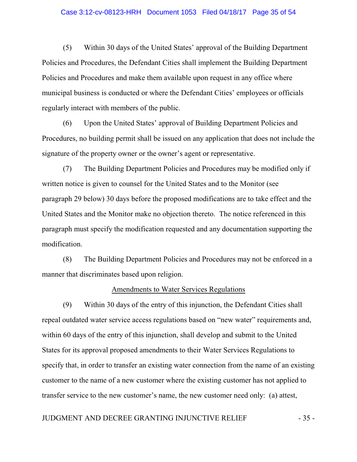#### Case 3:12-cv-08123-HRH Document 1053 Filed 04/18/17 Page 35 of 54

(5) Within 30 days of the United States' approval of the Building Department Policies and Procedures, the Defendant Cities shall implement the Building Department Policies and Procedures and make them available upon request in any office where municipal business is conducted or where the Defendant Cities' employees or officials regularly interact with members of the public.

(6) Upon the United States' approval of Building Department Policies and Procedures, no building permit shall be issued on any application that does not include the signature of the property owner or the owner's agent or representative.

(7) The Building Department Policies and Procedures may be modified only if written notice is given to counsel for the United States and to the Monitor (see paragraph 29 below) 30 days before the proposed modifications are to take effect and the United States and the Monitor make no objection thereto. The notice referenced in this paragraph must specify the modification requested and any documentation supporting the modification.

(8) The Building Department Policies and Procedures may not be enforced in a manner that discriminates based upon religion.

#### Amendments to Water Services Regulations

(9) Within 30 days of the entry of this injunction, the Defendant Cities shall repeal outdated water service access regulations based on "new water" requirements and, within 60 days of the entry of this injunction, shall develop and submit to the United States for its approval proposed amendments to their Water Services Regulations to specify that, in order to transfer an existing water connection from the name of an existing customer to the name of a new customer where the existing customer has not applied to transfer service to the new customer's name, the new customer need only: (a) attest,

## JUDGMENT AND DECREE GRANTING INJUNCTIVE RELIEF - 35 -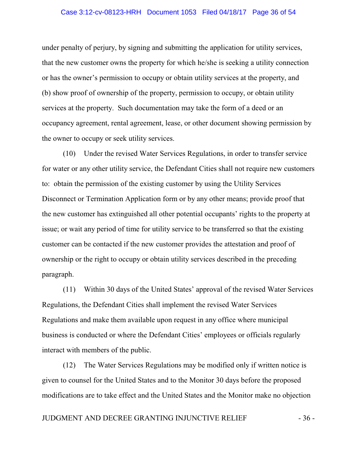#### Case 3:12-cv-08123-HRH Document 1053 Filed 04/18/17 Page 36 of 54

under penalty of perjury, by signing and submitting the application for utility services, that the new customer owns the property for which he/she is seeking a utility connection or has the owner's permission to occupy or obtain utility services at the property, and (b) show proof of ownership of the property, permission to occupy, or obtain utility services at the property. Such documentation may take the form of a deed or an occupancy agreement, rental agreement, lease, or other document showing permission by the owner to occupy or seek utility services.

(10) Under the revised Water Services Regulations, in order to transfer service for water or any other utility service, the Defendant Cities shall not require new customers to: obtain the permission of the existing customer by using the Utility Services Disconnect or Termination Application form or by any other means; provide proof that the new customer has extinguished all other potential occupants' rights to the property at issue; or wait any period of time for utility service to be transferred so that the existing customer can be contacted if the new customer provides the attestation and proof of ownership or the right to occupy or obtain utility services described in the preceding paragraph.

(11) Within 30 days of the United States' approval of the revised Water Services Regulations, the Defendant Cities shall implement the revised Water Services Regulations and make them available upon request in any office where municipal business is conducted or where the Defendant Cities' employees or officials regularly interact with members of the public.

(12) The Water Services Regulations may be modified only if written notice is given to counsel for the United States and to the Monitor 30 days before the proposed modifications are to take effect and the United States and the Monitor make no objection

## JUDGMENT AND DECREE GRANTING INJUNCTIVE RELIEF  $-36$  -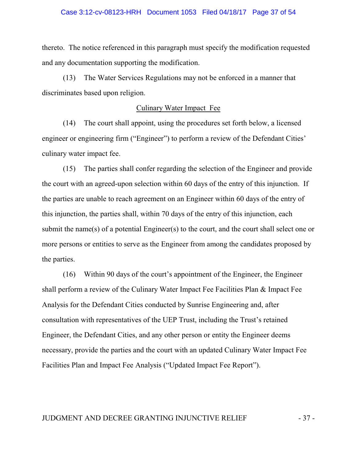## Case 3:12-cv-08123-HRH Document 1053 Filed 04/18/17 Page 37 of 54

thereto. The notice referenced in this paragraph must specify the modification requested and any documentation supporting the modification.

(13) The Water Services Regulations may not be enforced in a manner that discriminates based upon religion.

#### Culinary Water Impact Fee

(14) The court shall appoint, using the procedures set forth below, a licensed engineer or engineering firm ("Engineer") to perform a review of the Defendant Cities' culinary water impact fee.

(15) The parties shall confer regarding the selection of the Engineer and provide the court with an agreed-upon selection within 60 days of the entry of this injunction. If the parties are unable to reach agreement on an Engineer within 60 days of the entry of this injunction, the parties shall, within 70 days of the entry of this injunction, each submit the name(s) of a potential Engineer(s) to the court, and the court shall select one or more persons or entities to serve as the Engineer from among the candidates proposed by the parties.

(16) Within 90 days of the court's appointment of the Engineer, the Engineer shall perform a review of the Culinary Water Impact Fee Facilities Plan & Impact Fee Analysis for the Defendant Cities conducted by Sunrise Engineering and, after consultation with representatives of the UEP Trust, including the Trust's retained Engineer, the Defendant Cities, and any other person or entity the Engineer deems necessary, provide the parties and the court with an updated Culinary Water Impact Fee Facilities Plan and Impact Fee Analysis ("Updated Impact Fee Report").

#### JUDGMENT AND DECREE GRANTING INJUNCTIVE RELIEF  $-37$  -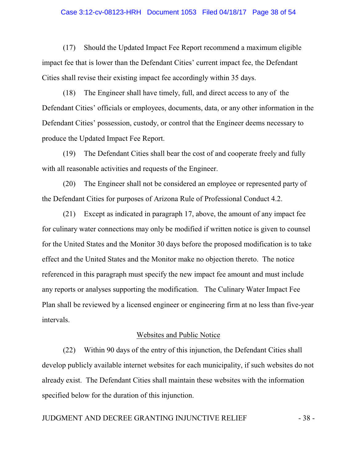#### Case 3:12-cv-08123-HRH Document 1053 Filed 04/18/17 Page 38 of 54

(17) Should the Updated Impact Fee Report recommend a maximum eligible impact fee that is lower than the Defendant Cities' current impact fee, the Defendant Cities shall revise their existing impact fee accordingly within 35 days.

(18) The Engineer shall have timely, full, and direct access to any of the Defendant Cities' officials or employees, documents, data, or any other information in the Defendant Cities' possession, custody, or control that the Engineer deems necessary to produce the Updated Impact Fee Report.

(19) The Defendant Cities shall bear the cost of and cooperate freely and fully with all reasonable activities and requests of the Engineer.

(20) The Engineer shall not be considered an employee or represented party of the Defendant Cities for purposes of Arizona Rule of Professional Conduct 4.2.

(21) Except as indicated in paragraph 17, above, the amount of any impact fee for culinary water connections may only be modified if written notice is given to counsel for the United States and the Monitor 30 days before the proposed modification is to take effect and the United States and the Monitor make no objection thereto. The notice referenced in this paragraph must specify the new impact fee amount and must include any reports or analyses supporting the modification. The Culinary Water Impact Fee Plan shall be reviewed by a licensed engineer or engineering firm at no less than five-year intervals.

## Websites and Public Notice

(22) Within 90 days of the entry of this injunction, the Defendant Cities shall develop publicly available internet websites for each municipality, if such websites do not already exist. The Defendant Cities shall maintain these websites with the information specified below for the duration of this injunction.

## JUDGMENT AND DECREE GRANTING INJUNCTIVE RELIEF - 38 -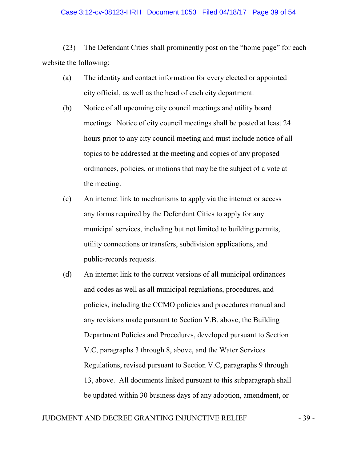#### Case 3:12-cv-08123-HRH Document 1053 Filed 04/18/17 Page 39 of 54

(23) The Defendant Cities shall prominently post on the "home page" for each website the following:

- (a) The identity and contact information for every elected or appointed city official, as well as the head of each city department.
- (b) Notice of all upcoming city council meetings and utility board meetings. Notice of city council meetings shall be posted at least 24 hours prior to any city council meeting and must include notice of all topics to be addressed at the meeting and copies of any proposed ordinances, policies, or motions that may be the subject of a vote at the meeting.
- (c) An internet link to mechanisms to apply via the internet or access any forms required by the Defendant Cities to apply for any municipal services, including but not limited to building permits, utility connections or transfers, subdivision applications, and public-records requests.
- (d) An internet link to the current versions of all municipal ordinances and codes as well as all municipal regulations, procedures, and policies, including the CCMO policies and procedures manual and any revisions made pursuant to Section V.B. above, the Building Department Policies and Procedures, developed pursuant to Section V.C, paragraphs 3 through 8, above, and the Water Services Regulations, revised pursuant to Section V.C, paragraphs 9 through 13, above. All documents linked pursuant to this subparagraph shall be updated within 30 business days of any adoption, amendment, or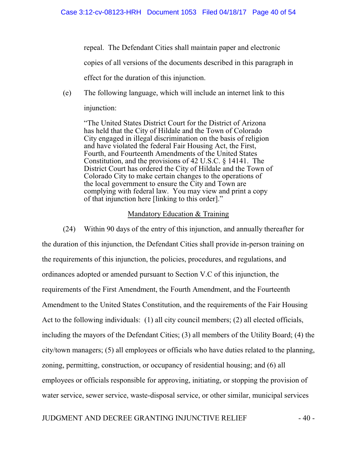repeal. The Defendant Cities shall maintain paper and electronic

copies of all versions of the documents described in this paragraph in

effect for the duration of this injunction.

(e) The following language, which will include an internet link to this injunction:

"The United States District Court for the District of Arizona has held that the City of Hildale and the Town of Colorado City engaged in illegal discrimination on the basis of religion and have violated the federal Fair Housing Act, the First, Fourth, and Fourteenth Amendments of the United States Constitution, and the provisions of 42 U.S.C. § 14141. The District Court has ordered the City of Hildale and the Town of Colorado City to make certain changes to the operations of the local government to ensure the City and Town are complying with federal law. You may view and print a copy of that injunction here [linking to this order]."

## Mandatory Education & Training

(24) Within 90 days of the entry of this injunction, and annually thereafter for the duration of this injunction, the Defendant Cities shall provide in-person training on the requirements of this injunction, the policies, procedures, and regulations, and ordinances adopted or amended pursuant to Section V.C of this injunction, the requirements of the First Amendment, the Fourth Amendment, and the Fourteenth Amendment to the United States Constitution, and the requirements of the Fair Housing Act to the following individuals: (1) all city council members; (2) all elected officials, including the mayors of the Defendant Cities; (3) all members of the Utility Board; (4) the city/town managers; (5) all employees or officials who have duties related to the planning, zoning, permitting, construction, or occupancy of residential housing; and (6) all employees or officials responsible for approving, initiating, or stopping the provision of water service, sewer service, waste-disposal service, or other similar, municipal services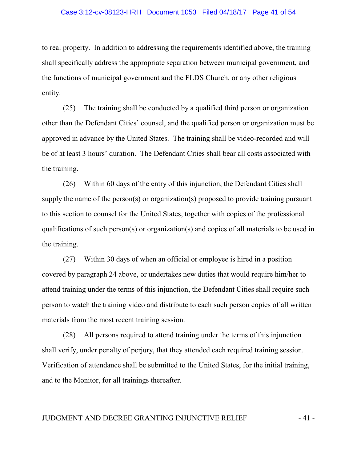#### Case 3:12-cv-08123-HRH Document 1053 Filed 04/18/17 Page 41 of 54

to real property. In addition to addressing the requirements identified above, the training shall specifically address the appropriate separation between municipal government, and the functions of municipal government and the FLDS Church, or any other religious entity.

(25) The training shall be conducted by a qualified third person or organization other than the Defendant Cities' counsel, and the qualified person or organization must be approved in advance by the United States. The training shall be video-recorded and will be of at least 3 hours' duration. The Defendant Cities shall bear all costs associated with the training.

(26) Within 60 days of the entry of this injunction, the Defendant Cities shall supply the name of the person(s) or organization(s) proposed to provide training pursuant to this section to counsel for the United States, together with copies of the professional qualifications of such person(s) or organization(s) and copies of all materials to be used in the training.

(27) Within 30 days of when an official or employee is hired in a position covered by paragraph 24 above, or undertakes new duties that would require him/her to attend training under the terms of this injunction, the Defendant Cities shall require such person to watch the training video and distribute to each such person copies of all written materials from the most recent training session.

(28) All persons required to attend training under the terms of this injunction shall verify, under penalty of perjury, that they attended each required training session. Verification of attendance shall be submitted to the United States, for the initial training, and to the Monitor, for all trainings thereafter.

## JUDGMENT AND DECREE GRANTING INJUNCTIVE RELIEF  $-41$  -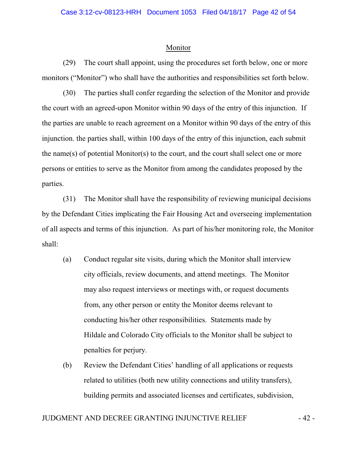#### Monitor

(29) The court shall appoint, using the procedures set forth below, one or more monitors ("Monitor") who shall have the authorities and responsibilities set forth below.

(30) The parties shall confer regarding the selection of the Monitor and provide the court with an agreed-upon Monitor within 90 days of the entry of this injunction. If the parties are unable to reach agreement on a Monitor within 90 days of the entry of this injunction. the parties shall, within 100 days of the entry of this injunction, each submit the name(s) of potential Monitor(s) to the court, and the court shall select one or more persons or entities to serve as the Monitor from among the candidates proposed by the parties.

(31) The Monitor shall have the responsibility of reviewing municipal decisions by the Defendant Cities implicating the Fair Housing Act and overseeing implementation of all aspects and terms of this injunction. As part of his/her monitoring role, the Monitor shall:

- (a) Conduct regular site visits, during which the Monitor shall interview city officials, review documents, and attend meetings. The Monitor may also request interviews or meetings with, or request documents from, any other person or entity the Monitor deems relevant to conducting his/her other responsibilities. Statements made by Hildale and Colorado City officials to the Monitor shall be subject to penalties for perjury.
- (b) Review the Defendant Cities' handling of all applications or requests related to utilities (both new utility connections and utility transfers), building permits and associated licenses and certificates, subdivision,

## JUDGMENT AND DECREE GRANTING INJUNCTIVE RELIEF  $-42$  -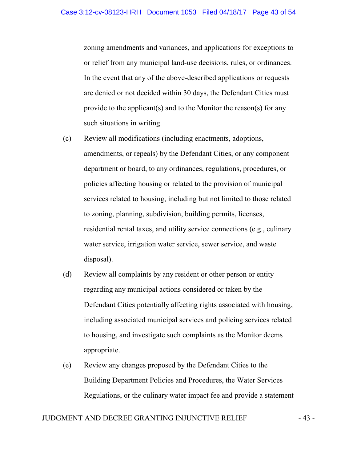zoning amendments and variances, and applications for exceptions to or relief from any municipal land-use decisions, rules, or ordinances. In the event that any of the above-described applications or requests are denied or not decided within 30 days, the Defendant Cities must provide to the applicant(s) and to the Monitor the reason(s) for any such situations in writing.

- (c) Review all modifications (including enactments, adoptions, amendments, or repeals) by the Defendant Cities, or any component department or board, to any ordinances, regulations, procedures, or policies affecting housing or related to the provision of municipal services related to housing, including but not limited to those related to zoning, planning, subdivision, building permits, licenses, residential rental taxes, and utility service connections (e.g., culinary water service, irrigation water service, sewer service, and waste disposal).
- (d) Review all complaints by any resident or other person or entity regarding any municipal actions considered or taken by the Defendant Cities potentially affecting rights associated with housing, including associated municipal services and policing services related to housing, and investigate such complaints as the Monitor deems appropriate.
- (e) Review any changes proposed by the Defendant Cities to the Building Department Policies and Procedures, the Water Services Regulations, or the culinary water impact fee and provide a statement

## JUDGMENT AND DECREE GRANTING INJUNCTIVE RELIEF  $-43$  -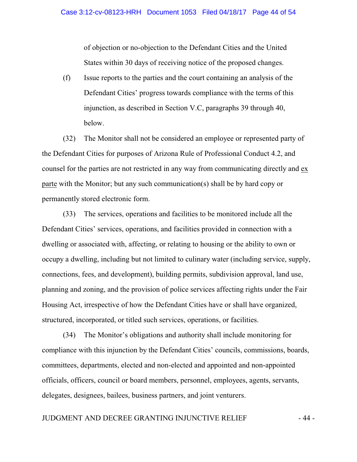of objection or no-objection to the Defendant Cities and the United States within 30 days of receiving notice of the proposed changes.

(f) Issue reports to the parties and the court containing an analysis of the Defendant Cities' progress towards compliance with the terms of this injunction, as described in Section V.C, paragraphs 39 through 40, below.

(32) The Monitor shall not be considered an employee or represented party of the Defendant Cities for purposes of Arizona Rule of Professional Conduct 4.2, and counsel for the parties are not restricted in any way from communicating directly and ex parte with the Monitor; but any such communication(s) shall be by hard copy or permanently stored electronic form.

(33) The services, operations and facilities to be monitored include all the Defendant Cities' services, operations, and facilities provided in connection with a dwelling or associated with, affecting, or relating to housing or the ability to own or occupy a dwelling, including but not limited to culinary water (including service, supply, connections, fees, and development), building permits, subdivision approval, land use, planning and zoning, and the provision of police services affecting rights under the Fair Housing Act, irrespective of how the Defendant Cities have or shall have organized, structured, incorporated, or titled such services, operations, or facilities.

(34) The Monitor's obligations and authority shall include monitoring for compliance with this injunction by the Defendant Cities' councils, commissions, boards, committees, departments, elected and non-elected and appointed and non-appointed officials, officers, council or board members, personnel, employees, agents, servants, delegates, designees, bailees, business partners, and joint venturers.

## JUDGMENT AND DECREE GRANTING INJUNCTIVE RELIEF  $-44$  -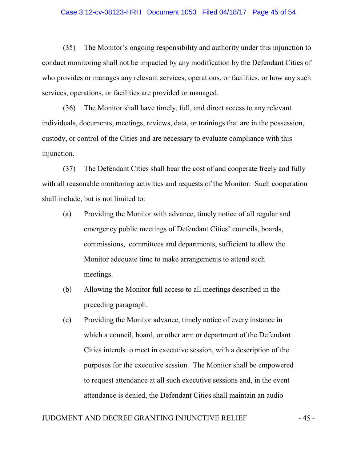#### Case 3:12-cv-08123-HRH Document 1053 Filed 04/18/17 Page 45 of 54

(35) The Monitor's ongoing responsibility and authority under this injunction to conduct monitoring shall not be impacted by any modification by the Defendant Cities of who provides or manages any relevant services, operations, or facilities, or how any such services, operations, or facilities are provided or managed.

(36) The Monitor shall have timely, full, and direct access to any relevant individuals, documents, meetings, reviews, data, or trainings that are in the possession, custody, or control of the Cities and are necessary to evaluate compliance with this injunction.

(37) The Defendant Cities shall bear the cost of and cooperate freely and fully with all reasonable monitoring activities and requests of the Monitor. Such cooperation shall include, but is not limited to:

- (a) Providing the Monitor with advance, timely notice of all regular and emergency public meetings of Defendant Cities' councils, boards, commissions, committees and departments, sufficient to allow the Monitor adequate time to make arrangements to attend such meetings.
- (b) Allowing the Monitor full access to all meetings described in the preceding paragraph.
- (c) Providing the Monitor advance, timely notice of every instance in which a council, board, or other arm or department of the Defendant Cities intends to meet in executive session, with a description of the purposes for the executive session. The Monitor shall be empowered to request attendance at all such executive sessions and, in the event attendance is denied, the Defendant Cities shall maintain an audio

## JUDGMENT AND DECREE GRANTING INJUNCTIVE RELIEF  $-45$  -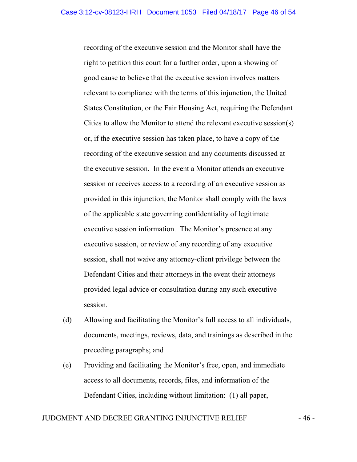recording of the executive session and the Monitor shall have the right to petition this court for a further order, upon a showing of good cause to believe that the executive session involves matters relevant to compliance with the terms of this injunction, the United States Constitution, or the Fair Housing Act, requiring the Defendant Cities to allow the Monitor to attend the relevant executive session(s) or, if the executive session has taken place, to have a copy of the recording of the executive session and any documents discussed at the executive session. In the event a Monitor attends an executive session or receives access to a recording of an executive session as provided in this injunction, the Monitor shall comply with the laws of the applicable state governing confidentiality of legitimate executive session information. The Monitor's presence at any executive session, or review of any recording of any executive session, shall not waive any attorney-client privilege between the Defendant Cities and their attorneys in the event their attorneys provided legal advice or consultation during any such executive session.

- (d) Allowing and facilitating the Monitor's full access to all individuals, documents, meetings, reviews, data, and trainings as described in the preceding paragraphs; and
- (e) Providing and facilitating the Monitor's free, open, and immediate access to all documents, records, files, and information of the Defendant Cities, including without limitation: (1) all paper,

## JUDGMENT AND DECREE GRANTING INJUNCTIVE RELIEF  $-46$  -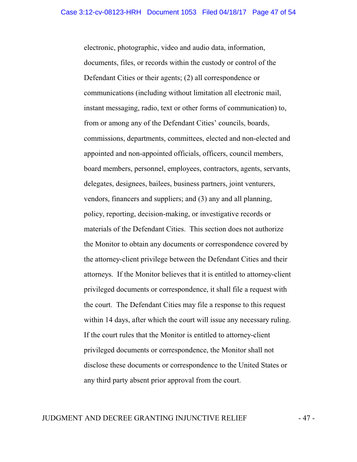electronic, photographic, video and audio data, information, documents, files, or records within the custody or control of the Defendant Cities or their agents; (2) all correspondence or communications (including without limitation all electronic mail, instant messaging, radio, text or other forms of communication) to, from or among any of the Defendant Cities' councils, boards, commissions, departments, committees, elected and non-elected and appointed and non-appointed officials, officers, council members, board members, personnel, employees, contractors, agents, servants, delegates, designees, bailees, business partners, joint venturers, vendors, financers and suppliers; and (3) any and all planning, policy, reporting, decision-making, or investigative records or materials of the Defendant Cities. This section does not authorize the Monitor to obtain any documents or correspondence covered by the attorney-client privilege between the Defendant Cities and their attorneys. If the Monitor believes that it is entitled to attorney-client privileged documents or correspondence, it shall file a request with the court. The Defendant Cities may file a response to this request within 14 days, after which the court will issue any necessary ruling. If the court rules that the Monitor is entitled to attorney-client privileged documents or correspondence, the Monitor shall not disclose these documents or correspondence to the United States or any third party absent prior approval from the court.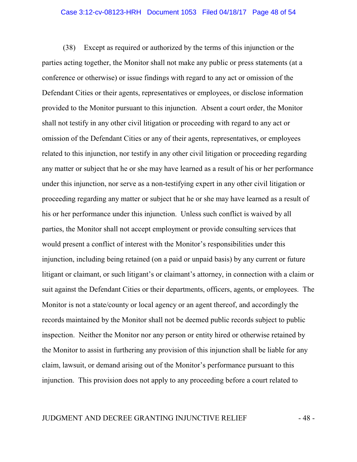#### Case 3:12-cv-08123-HRH Document 1053 Filed 04/18/17 Page 48 of 54

(38) Except as required or authorized by the terms of this injunction or the parties acting together, the Monitor shall not make any public or press statements (at a conference or otherwise) or issue findings with regard to any act or omission of the Defendant Cities or their agents, representatives or employees, or disclose information provided to the Monitor pursuant to this injunction. Absent a court order, the Monitor shall not testify in any other civil litigation or proceeding with regard to any act or omission of the Defendant Cities or any of their agents, representatives, or employees related to this injunction, nor testify in any other civil litigation or proceeding regarding any matter or subject that he or she may have learned as a result of his or her performance under this injunction, nor serve as a non-testifying expert in any other civil litigation or proceeding regarding any matter or subject that he or she may have learned as a result of his or her performance under this injunction. Unless such conflict is waived by all parties, the Monitor shall not accept employment or provide consulting services that would present a conflict of interest with the Monitor's responsibilities under this injunction, including being retained (on a paid or unpaid basis) by any current or future litigant or claimant, or such litigant's or claimant's attorney, in connection with a claim or suit against the Defendant Cities or their departments, officers, agents, or employees. The Monitor is not a state/county or local agency or an agent thereof, and accordingly the records maintained by the Monitor shall not be deemed public records subject to public inspection. Neither the Monitor nor any person or entity hired or otherwise retained by the Monitor to assist in furthering any provision of this injunction shall be liable for any claim, lawsuit, or demand arising out of the Monitor's performance pursuant to this injunction. This provision does not apply to any proceeding before a court related to

## JUDGMENT AND DECREE GRANTING INJUNCTIVE RELIEF  $-48$  -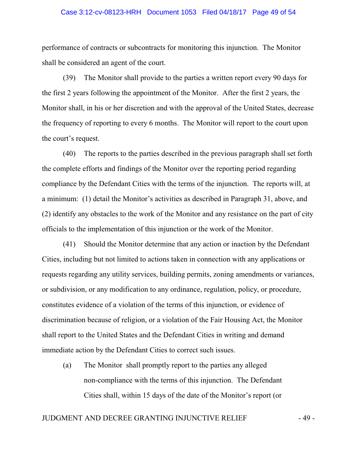## Case 3:12-cv-08123-HRH Document 1053 Filed 04/18/17 Page 49 of 54

performance of contracts or subcontracts for monitoring this injunction. The Monitor shall be considered an agent of the court.

(39) The Monitor shall provide to the parties a written report every 90 days for the first 2 years following the appointment of the Monitor. After the first 2 years, the Monitor shall, in his or her discretion and with the approval of the United States, decrease the frequency of reporting to every 6 months. The Monitor will report to the court upon the court's request.

(40) The reports to the parties described in the previous paragraph shall set forth the complete efforts and findings of the Monitor over the reporting period regarding compliance by the Defendant Cities with the terms of the injunction. The reports will, at a minimum: (1) detail the Monitor's activities as described in Paragraph 31, above, and (2) identify any obstacles to the work of the Monitor and any resistance on the part of city officials to the implementation of this injunction or the work of the Monitor.

(41) Should the Monitor determine that any action or inaction by the Defendant Cities, including but not limited to actions taken in connection with any applications or requests regarding any utility services, building permits, zoning amendments or variances, or subdivision, or any modification to any ordinance, regulation, policy, or procedure, constitutes evidence of a violation of the terms of this injunction, or evidence of discrimination because of religion, or a violation of the Fair Housing Act, the Monitor shall report to the United States and the Defendant Cities in writing and demand immediate action by the Defendant Cities to correct such issues.

(a) The Monitor shall promptly report to the parties any alleged non-compliance with the terms of this injunction. The Defendant Cities shall, within 15 days of the date of the Monitor's report (or

## JUDGMENT AND DECREE GRANTING INJUNCTIVE RELIEF  $-49$  -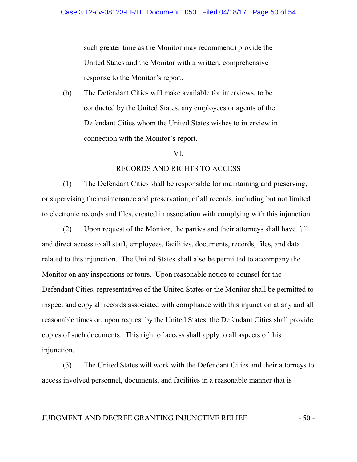such greater time as the Monitor may recommend) provide the United States and the Monitor with a written, comprehensive response to the Monitor's report.

(b) The Defendant Cities will make available for interviews, to be conducted by the United States, any employees or agents of the Defendant Cities whom the United States wishes to interview in connection with the Monitor's report.

#### VI.

#### RECORDS AND RIGHTS TO ACCESS

(1) The Defendant Cities shall be responsible for maintaining and preserving, or supervising the maintenance and preservation, of all records, including but not limited to electronic records and files, created in association with complying with this injunction.

(2) Upon request of the Monitor, the parties and their attorneys shall have full and direct access to all staff, employees, facilities, documents, records, files, and data related to this injunction. The United States shall also be permitted to accompany the Monitor on any inspections or tours. Upon reasonable notice to counsel for the Defendant Cities, representatives of the United States or the Monitor shall be permitted to inspect and copy all records associated with compliance with this injunction at any and all reasonable times or, upon request by the United States, the Defendant Cities shall provide copies of such documents. This right of access shall apply to all aspects of this injunction.

(3) The United States will work with the Defendant Cities and their attorneys to access involved personnel, documents, and facilities in a reasonable manner that is

## JUDGMENT AND DECREE GRANTING INJUNCTIVE RELIEF  $-50$  -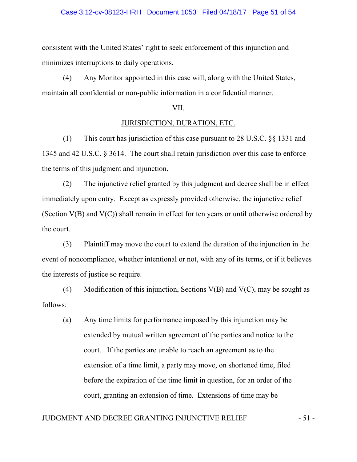#### Case 3:12-cv-08123-HRH Document 1053 Filed 04/18/17 Page 51 of 54

consistent with the United States' right to seek enforcement of this injunction and minimizes interruptions to daily operations.

(4) Any Monitor appointed in this case will, along with the United States, maintain all confidential or non-public information in a confidential manner.

#### VII.

#### JURISDICTION, DURATION, ETC.

(1) This court has jurisdiction of this case pursuant to 28 U.S.C. §§ 1331 and 1345 and 42 U.S.C. § 3614. The court shall retain jurisdiction over this case to enforce the terms of this judgment and injunction.

(2) The injunctive relief granted by this judgment and decree shall be in effect immediately upon entry. Except as expressly provided otherwise, the injunctive relief (Section V(B) and V(C)) shall remain in effect for ten years or until otherwise ordered by the court.

(3) Plaintiff may move the court to extend the duration of the injunction in the event of noncompliance, whether intentional or not, with any of its terms, or if it believes the interests of justice so require.

(4) Modification of this injunction, Sections  $V(B)$  and  $V(C)$ , may be sought as follows:

(a) Any time limits for performance imposed by this injunction may be extended by mutual written agreement of the parties and notice to the court. If the parties are unable to reach an agreement as to the extension of a time limit, a party may move, on shortened time, filed before the expiration of the time limit in question, for an order of the court, granting an extension of time. Extensions of time may be

## JUDGMENT AND DECREE GRANTING INJUNCTIVE RELIEF  $-51$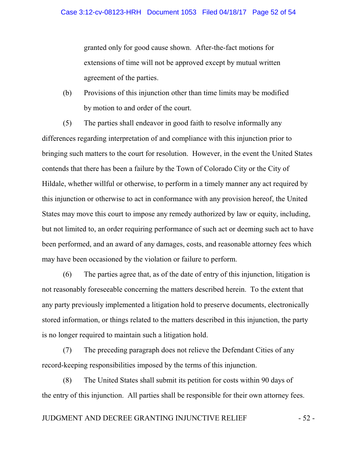granted only for good cause shown. After-the-fact motions for extensions of time will not be approved except by mutual written agreement of the parties.

(b) Provisions of this injunction other than time limits may be modified by motion to and order of the court.

(5) The parties shall endeavor in good faith to resolve informally any differences regarding interpretation of and compliance with this injunction prior to bringing such matters to the court for resolution. However, in the event the United States contends that there has been a failure by the Town of Colorado City or the City of Hildale, whether willful or otherwise, to perform in a timely manner any act required by this injunction or otherwise to act in conformance with any provision hereof, the United States may move this court to impose any remedy authorized by law or equity, including, but not limited to, an order requiring performance of such act or deeming such act to have been performed, and an award of any damages, costs, and reasonable attorney fees which may have been occasioned by the violation or failure to perform.

(6) The parties agree that, as of the date of entry of this injunction, litigation is not reasonably foreseeable concerning the matters described herein. To the extent that any party previously implemented a litigation hold to preserve documents, electronically stored information, or things related to the matters described in this injunction, the party is no longer required to maintain such a litigation hold.

(7) The preceding paragraph does not relieve the Defendant Cities of any record-keeping responsibilities imposed by the terms of this injunction.

(8) The United States shall submit its petition for costs within 90 days of the entry of this injunction. All parties shall be responsible for their own attorney fees.

## JUDGMENT AND DECREE GRANTING INJUNCTIVE RELIEF  $-52$ -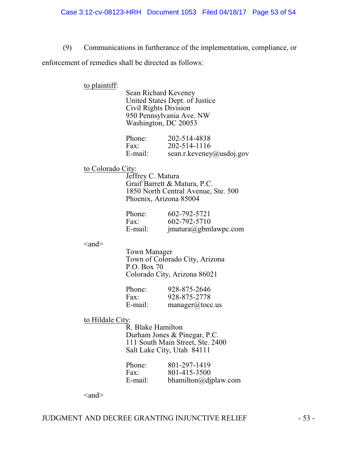(9) Communications in furtherance of the implementation, compliance, or

enforcement of remedies shall be directed as follows:

to plaintiff:

Sean Richard Keveney United States Dept. of Justice Civil Rights Division 950 Pennsylvania Ave. NW Washington, DC 20053

| Phone:  | 202-514-4838             |
|---------|--------------------------|
| Fax:    | 202-514-1116             |
| E-mail: | sean.r.keveney@usdoj.gov |

#### to Colorado City:

Jeffrey C. Matura Graif Barrett & Matura, P.C. 1850 North Central Avenue, Ste. 500 Phoenix, Arizona 85004

| Phone:  | 602-792-5721         |
|---------|----------------------|
| Fax:    | 602-792-5710         |
| E-mail: | jmatura@gbmlawpc.com |

 $\langle$ and $\rangle$ 

Town Manager Town of Colorado City, Arizona P.O. Box 70 Colorado City, Arizona 86021

| Phone:  | 928-875-2646   |
|---------|----------------|
| Fax:    | 928-875-2778   |
| E-mail: | manger@tocc.us |

## to Hildale City:

R. Blake Hamilton Durham Jones & Pinegar, P.C. 111 South Main Street, Ste. 2400 Salt Lake City, Utah 84111

| Phone:  | 801-297-1419            |
|---------|-------------------------|
| Fax:    | 801-415-3500            |
| E-mail: | $b$ hamilton@djplaw.com |

 $\langle$ and $\rangle$